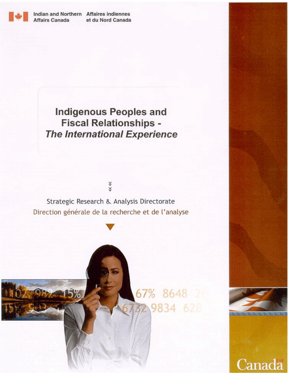

Indian and Northern Affaires indiennes **Affairs Canada** 

et du Nord Canada

## **Indigenous Peoples and Fiscal Relationships -The International Experience**



Strategic Research & Analysis Directorate Direction générale de la recherche et de l'analyse





Canada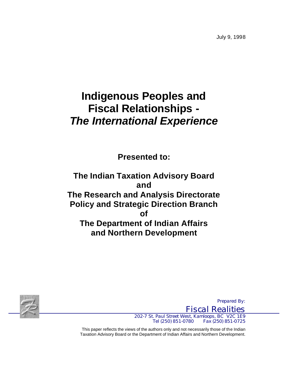July 9, 1998

# **Indigenous Peoples and Fiscal Relationships -** *The International Experience*

**Presented to:**

**The Indian Taxation Advisory Board and The Research and Analysis Directorate Policy and Strategic Direction Branch of The Department of Indian Affairs and Northern Development**



*Fiscal Realities 202-7 St. Paul Street West, Kamloops, BC V2C 1E9 Tel (250) 851-0780 Fax (250) 851-0725*

*Prepared By:*

This paper reflects the views of the authors only and not necessarily those of the Indian Taxation Advisory Board or the Department of Indian Affairs and Northern Development.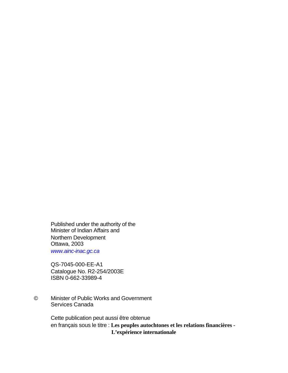Published under the authority of the Minister of Indian Affairs and Northern Development Ottawa, 2003 *[www.ainc-inac.gc.ca](http://www.ainc-inac.gc.ca)*

QS-7045-000-EE-A1 Catalogue No. R2-254/2003E ISBN 0-662-33989-4

© Minister of Public Works and Government Services Canada

> Cette publication peut aussi être obtenue en français sous le titre : **Les peuples autochtones et les relations financières - L'expérience internationale**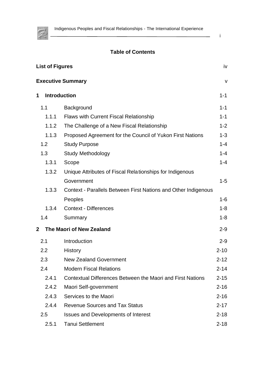

#### i

 $\overline{\phantom{0}}$ 

## **Table of Contents**

|                                          | <b>List of Figures</b><br>iv |                                                                |          |  |  |
|------------------------------------------|------------------------------|----------------------------------------------------------------|----------|--|--|
|                                          |                              | <b>Executive Summary</b>                                       | V        |  |  |
| 1                                        |                              | <b>Introduction</b>                                            | $1 - 1$  |  |  |
| 1.1                                      |                              | Background                                                     | $1 - 1$  |  |  |
|                                          | 1.1.1                        | <b>Flaws with Current Fiscal Relationship</b>                  | $1 - 1$  |  |  |
|                                          | 1.1.2                        | The Challenge of a New Fiscal Relationship                     | $1 - 2$  |  |  |
|                                          | 1.1.3                        | Proposed Agreement for the Council of Yukon First Nations      | $1 - 3$  |  |  |
|                                          | 1.2                          | <b>Study Purpose</b>                                           | $1 - 4$  |  |  |
|                                          | 1.3                          | <b>Study Methodology</b>                                       | $1 - 4$  |  |  |
|                                          | 1.3.1                        | Scope                                                          | $1 - 4$  |  |  |
|                                          | 1.3.2                        | Unique Attributes of Fiscal Relationships for Indigenous       |          |  |  |
|                                          |                              | Government                                                     | $1 - 5$  |  |  |
|                                          | 1.3.3                        | Context - Parallels Between First Nations and Other Indigenous |          |  |  |
|                                          |                              | Peoples                                                        | $1 - 6$  |  |  |
|                                          | 1.3.4                        | <b>Context - Differences</b>                                   | $1 - 8$  |  |  |
|                                          | 1.4                          | Summary                                                        | $1 - 8$  |  |  |
| The Maori of New Zealand<br>$\mathbf{2}$ |                              | $2 - 9$                                                        |          |  |  |
|                                          | 2.1                          | Introduction                                                   | $2 - 9$  |  |  |
|                                          | 2.2                          | <b>History</b>                                                 | $2 - 10$ |  |  |
|                                          | 2.3                          | <b>New Zealand Government</b>                                  | $2 - 12$ |  |  |
|                                          | 2.4                          | <b>Modern Fiscal Relations</b>                                 | $2 - 14$ |  |  |
|                                          | 2.4.1                        | Contextual Differences Between the Maori and First Nations     | $2 - 15$ |  |  |
|                                          | 2.4.2                        | Maori Self-government                                          | $2 - 16$ |  |  |
|                                          | 2.4.3                        | Services to the Maori                                          | $2 - 16$ |  |  |
|                                          | 2.4.4                        | <b>Revenue Sources and Tax Status</b>                          | $2 - 17$ |  |  |
|                                          | 2.5                          | <b>Issues and Developments of Interest</b>                     | $2 - 18$ |  |  |
|                                          | 2.5.1                        | <b>Tanui Settlement</b>                                        | $2 - 18$ |  |  |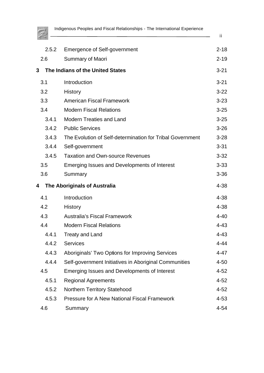

ii

 $\overline{\phantom{a}}$ 

|   | 2.5.2 | <b>Emergence of Self-government</b>                       | $2 - 18$ |
|---|-------|-----------------------------------------------------------|----------|
|   | 2.6   | <b>Summary of Maori</b>                                   | $2 - 19$ |
| 3 |       | The Indians of the United States                          | $3 - 21$ |
|   | 3.1   | Introduction                                              | $3 - 21$ |
|   | 3.2   | History                                                   | $3 - 22$ |
|   | 3.3   | <b>American Fiscal Framework</b>                          | $3 - 23$ |
|   | 3.4   | <b>Modern Fiscal Relations</b>                            | $3 - 25$ |
|   | 3.4.1 | <b>Modern Treaties and Land</b>                           | $3 - 25$ |
|   | 3.4.2 | <b>Public Services</b>                                    | $3 - 26$ |
|   | 3.4.3 | The Evolution of Self-determination for Tribal Government | $3 - 28$ |
|   | 3.4.4 | Self-government                                           | $3 - 31$ |
|   | 3.4.5 | <b>Taxation and Own-source Revenues</b>                   | $3 - 32$ |
|   | 3.5   | Emerging Issues and Developments of Interest              | $3 - 33$ |
|   | 3.6   | Summary                                                   | $3 - 36$ |
| 4 |       | <b>The Aboriginals of Australia</b>                       | $4 - 38$ |
|   | 4.1   | Introduction                                              | $4 - 38$ |
|   | 4.2   | <b>History</b>                                            | 4-38     |
|   | 4.3   | <b>Australia's Fiscal Framework</b>                       | $4 - 40$ |
|   | 4.4   | <b>Modern Fiscal Relations</b>                            | $4 - 43$ |
|   | 4.4.1 | <b>Treaty and Land</b>                                    | $4 - 43$ |
|   | 4.4.2 | <b>Services</b>                                           | $4 - 44$ |
|   | 4.4.3 | Aboriginals' Two Options for Improving Services           | $4 - 47$ |
|   | 4.4.4 | Self-government Initiatives in Aboriginal Communities     | $4 - 50$ |
|   | 4.5   | Emerging Issues and Developments of Interest              | $4 - 52$ |
|   | 4.5.1 | <b>Regional Agreements</b>                                | $4 - 52$ |
|   | 4.5.2 | Northern Territory Statehood                              | $4 - 52$ |
|   | 4.5.3 | <b>Pressure for A New National Fiscal Framework</b>       | $4 - 53$ |
|   | 4.6   | Summary                                                   | $4 - 54$ |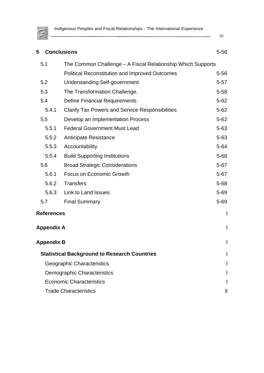

| 5                                                   | <b>Conclusions</b>                                          | $5 - 56$ |  |
|-----------------------------------------------------|-------------------------------------------------------------|----------|--|
| 5.1                                                 | The Common Challenge – A Fiscal Relationship Which Supports |          |  |
|                                                     | <b>Political Reconstitution and Improved Outcomes</b>       | $5 - 56$ |  |
| 5.2                                                 | <b>Understanding Self-government</b>                        | $5 - 57$ |  |
| 5.3                                                 | The Transformation Challenge.                               | $5 - 58$ |  |
| 5.4                                                 | <b>Define Financial Requirements</b>                        | $5 - 62$ |  |
| 5.4.1                                               | <b>Clarify Tax Powers and Service Responsibilities</b>      | $5 - 62$ |  |
| 5.5                                                 | Develop an Implementation Process                           | $5 - 62$ |  |
| 5.5.1                                               | <b>Federal Government Must Lead</b>                         | $5 - 63$ |  |
| 5.5.2                                               | <b>Anticipate Resistance</b>                                | $5 - 63$ |  |
| 5.5.3                                               | Accountability                                              | $5 - 64$ |  |
| 5.5.4                                               | <b>Build Supporting Institutions</b>                        | $5 - 66$ |  |
| 5.6                                                 | <b>Broad Strategic Considerations</b>                       | $5 - 67$ |  |
| 5.6.1                                               | Focus on Economic Growth                                    | $5 - 67$ |  |
| 5.6.2                                               | <b>Transfers</b>                                            | $5 - 68$ |  |
| 5.6.3                                               | Link to Land Issues                                         | $5 - 69$ |  |
| 5.7                                                 | <b>Final Summary</b>                                        | $5 - 69$ |  |
| <b>References</b>                                   |                                                             | I        |  |
| <b>Appendix A</b>                                   |                                                             | I        |  |
| <b>Appendix B</b>                                   |                                                             |          |  |
| <b>Statistical Background to Research Countries</b> |                                                             |          |  |
| Geographic Characteristics                          |                                                             |          |  |
| Demographic Characteristics                         |                                                             |          |  |
|                                                     | <b>Economic Characteristics</b>                             |          |  |
| <b>Trade Characteristics</b>                        |                                                             |          |  |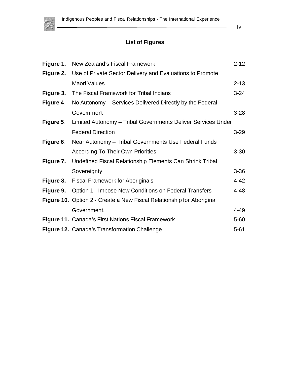<span id="page-6-0"></span>

iv

## **List of Figures**

|           | Figure 1. New Zealand's Fiscal Framework                                   | $2 - 12$ |
|-----------|----------------------------------------------------------------------------|----------|
|           | <b>Figure 2.</b> Use of Private Sector Delivery and Evaluations to Promote |          |
|           | <b>Maori Values</b>                                                        | $2 - 13$ |
| Figure 3. | The Fiscal Framework for Tribal Indians                                    | $3 - 24$ |
| Figure 4. | No Autonomy – Services Delivered Directly by the Federal                   |          |
|           | Government                                                                 | $3 - 28$ |
|           | Figure 5. Limited Autonomy - Tribal Governments Deliver Services Under     |          |
|           | <b>Federal Direction</b>                                                   | $3 - 29$ |
| Figure 6. | Near Autonomy – Tribal Governments Use Federal Funds                       |          |
|           | <b>According To Their Own Priorities</b>                                   | $3 - 30$ |
|           | Figure 7. Undefined Fiscal Relationship Elements Can Shrink Tribal         |          |
|           | Sovereignty                                                                | $3 - 36$ |
|           | Figure 8. Fiscal Framework for Aboriginals                                 | $4 - 42$ |
|           | <b>Figure 9.</b> Option 1 - Impose New Conditions on Federal Transfers     | $4 - 48$ |
|           | Figure 10. Option 2 - Create a New Fiscal Relationship for Aboriginal      |          |
|           | Government.                                                                | $4 - 49$ |
|           | <b>Figure 11. Canada's First Nations Fiscal Framework</b>                  | $5 - 60$ |
|           | <b>Figure 12. Canada's Transformation Challenge</b>                        | $5 - 61$ |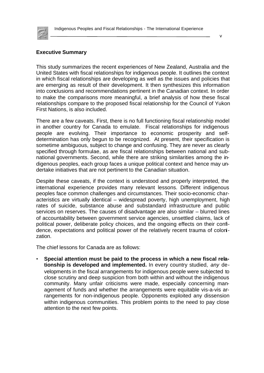<span id="page-7-0"></span>

#### v

#### **Executive Summary**

This study summarizes the recent experiences of New Zealand, Australia and the United States with fiscal relationships for indigenous people. It outlines the context in which fiscal relationships are developing as well as the issues and policies that are emerging as result of their development. It then synthesizes this information into conclusions and recommendations pertinent in the Canadian context. In order to make the comparisons more meaningful, a brief analysis of how these fiscal relationships compare to the proposed fiscal relationship for the Council of Yukon First Nations, is also included.

There are a few caveats. First, there is no full functioning fiscal relationship model in another country for Canada to emulate. Fiscal relationships for indigenous people are evolving. Their importance to economic prosperity and selfdetermination has only begun to be recognized. At present, their specification is sometime ambiguous, subject to change and confusing. They are never as clearly specified through formulae, as are fiscal relationships between national and subnational governments. Second, while there are striking similarities among the indigenous peoples, each group faces a unique political context and hence may undertake initiatives that are not pertinent to the Canadian situation.

Despite these caveats, if the context is understood and properly interpreted, the international experience provides many relevant lessons. Different indigenous peoples face common challenges and circumstances. Their socio-economic characteristics are virtually identical – widespread poverty, high unemployment, high rates of suicide, substance abuse and substandard infrastructure and public services on reserves. The causes of disadvantage are also similar – blurred lines of accountability between government service agencies, unsettled claims, lack of political power, deliberate policy choices, and the ongoing effects on their confidence, expectations and political power of the relatively recent trauma of colonization.

The chief lessons for Canada are as follows:

• **Special attention must be paid to the process in which a new fiscal relationship is developed and implemented.** In every country studied, *any* developments in the fiscal arrangements for indigenous people were subjected to close scrutiny and deep suspicion from both within and without the indigenous community. Many unfair criticisms were made, especially concerning management of funds and whether the arrangements were equitable vis-a-vis arrangements for non-indigenous people. Opponents exploited any dissension within indigenous communities. This problem points to the need to pay close attention to the next few points.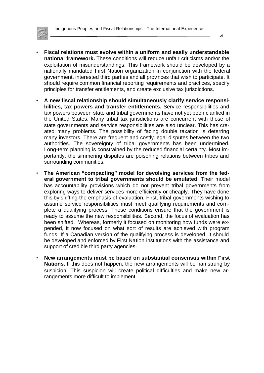

- **Fiscal relations must evolve within a uniform and easily understandable national framework.** These conditions will reduce unfair criticisms and/or the exploitation of misunderstandings. This framework should be developed by a nationally mandated First Nation organization in conjunction with the federal government, interested third parties and all provinces that wish to participate. It should require common financial reporting requirements and practices, specify principles for transfer entitlements, and create exclusive tax jurisdictions.
- **A new fiscal relationship should simultaneously clarify service responsibilities, tax powers and transfer entitlements.** Service responsibilities and tax powers between state and tribal governments have not yet been clarified in the United States. Many tribal tax jurisdictions are concurrent with those of state governments and service responsibilities are also unclear. This has created many problems. The possibility of facing double taxation is deterring many investors. There are frequent and costly legal disputes between the two authorities. The sovereignty of tribal governments has been undermined. Long-term planning is constrained by the reduced financial certainty. Most importantly, the simmering disputes are poisoning relations between tribes and surrounding communities.
- **The American "compacting" model for devolving services from the federal government to tribal governments should be emulated**. Their model has accountability provisions which do not prevent tribal governments from exploring ways to deliver services more efficiently or cheaply. They have done this by shifting the emphasis of evaluation. First, tribal governments wishing to assume service responsibilities must meet qualifying requirements and complete a qualifying process. These conditions ensure that the government is ready to assume the new responsibilities. Second, the focus of evaluation has been shifted. Whereas, formerly it focused on monitoring how funds were expended, it now focused on what sort of results are achieved with program funds. If a Canadian version of the qualifying process is developed, it should be developed and enforced by First Nation institutions with the assistance and support of credible third party agencies.
- **New arrangements must be based on substantial consensus within First Nations.** If this does not happen, the new arrangements will be hamstrung by suspicion. This suspicion will create political difficulties and make new arrangements more difficult to implement.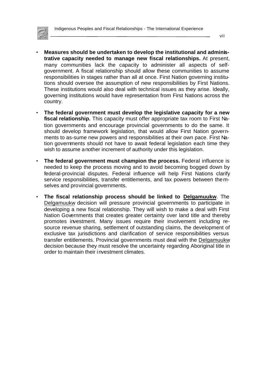

- **Measures should be undertaken to develop the institutional and administrative capacity needed to manage new fiscal relationships.** At present, many communities lack the capacity to administer all aspects of selfgovernment. A fiscal relationship should allow these communities to assume responsibilities in stages rather than all at once. First Nation governing institutions should oversee the assumption of new responsibilities by First Nations. These institutions would also deal with technical issues as they arise. Ideally, governing institutions would have representation from First Nations across the country.
- **The federal government must develop the legislative capacity for a new fiscal relationship.** This capacity must offer appropriate tax room to First Nation governments and encourage provincial governments to do the same. It should develop framework legislation, that would allow First Nation governments to as-sume new powers and responsibilities at their own pace. First Nation governments should not have to await federal legislation each time they wish to assume another increment of authority under this legislation.
- **The federal government must champion the process.** Federal influence is needed to keep the process moving and to avoid becoming bogged down by federal-provincial disputes. Federal influence will help First Nations clarify service responsibilities, transfer entitlements, and tax powers between themselves and provincial governments.
- **The fiscal relationship process should be linked to Delgamuukw**. The Delgamuukw decision will pressure provincial governments to participate in developing a new fiscal relationship. They will wish to make a deal with First Nation Governments that creates greater certainty over land title and thereby promotes investment. Many issues require their involvement including resource revenue sharing, settlement of outstanding claims, the development of exclusive tax jurisdictions and clarification of service responsibilities versus transfer entitlements. Provincial governments must deal with the Delgamuukw decision because they must resolve the uncertainty regarding Aboriginal title in order to maintain their investment climates.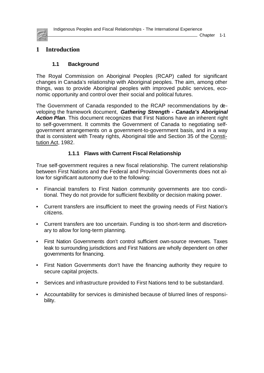<span id="page-10-0"></span>

## **1 Introduction**

## **1.1 Background**

The Royal Commission on Aboriginal Peoples (RCAP) called for significant changes in Canada's relationship with Aboriginal peoples. The aim, among other things, was to provide Aboriginal peoples with improved public services, economic opportunity and control over their social and political futures.

The Government of Canada responded to the RCAP recommendations by developing the framework document, *Gathering Strength - Canada's Aboriginal Action Plan*. This document recognizes that First Nations have an inherent right to self-government. It commits the Government of Canada to negotiating selfgovernment arrangements on a government-to-government basis, and in a way that is consistent with Treaty rights, Aboriginal title and Section 35 of the Constitution Act, 1982.

### **1.1.1 Flaws with Current Fiscal Relationship**

True self-government requires a new fiscal relationship. The current relationship between First Nations and the Federal and Provincial Governments does not allow for significant autonomy due to the following:

- Financial transfers to First Nation community governments are too conditional. They do not provide for sufficient flexibility or decision making power.
- Current transfers are insufficient to meet the growing needs of First Nation's citizens.
- Current transfers are too uncertain. Funding is too short-term and discretionary to allow for long-term planning.
- First Nation Governments don't control sufficient own-source revenues. Taxes leak to surrounding jurisdictions and First Nations are wholly dependent on other governments for financing.
- First Nation Governments don't have the financing authority they require to secure capital projects.
- Services and infrastructure provided to First Nations tend to be substandard.
- Accountability for services is diminished because of blurred lines of responsibility.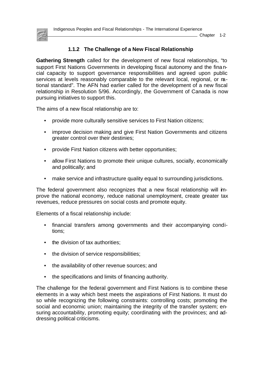<span id="page-11-0"></span>

#### **1.1.2 The Challenge of a New Fiscal Relationship**

**Gathering Strength** called for the development of new fiscal relationships, "to support First Nations Governments in developing fiscal autonomy and the financial capacity to support governance responsibilities and agreed upon public services at levels reasonably comparable to the relevant local, regional, or rational standard". The AFN had earlier called for the development of a new fiscal relationship in Resolution 5/96. Accordingly, the Government of Canada is now pursuing initiatives to support this.

The aims of a new fiscal relationship are to:

- provide more culturally sensitive services to First Nation citizens;
- improve decision making and give First Nation Governments and citizens greater control over their destinies;
- provide First Nation citizens with better opportunities;
- allow First Nations to promote their unique cultures, socially, economically and politically; and
- make service and infrastructure quality equal to surrounding jurisdictions.

The federal government also recognizes that a new fiscal relationship will improve the national economy, reduce national unemployment, create greater tax revenues, reduce pressures on social costs and promote equity.

Elements of a fiscal relationship include:

- financial transfers among governments and their accompanying conditions;
- the division of tax authorities;
- the division of service responsibilities;
- the availability of other revenue sources; and
- the specifications and limits of financing authority.

The challenge for the federal government and First Nations is to combine these elements in a way which best meets the aspirations of First Nations. It must do so while recognizing the following constraints: controlling costs; promoting the social and economic union; maintaining the integrity of the transfer system; ensuring accountability, promoting equity; coordinating with the provinces; and addressing political criticisms.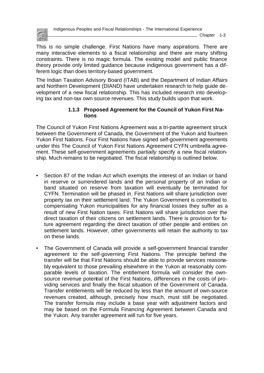<span id="page-12-0"></span>

This is no simple challenge. First Nations have many aspirations. There are many interactive elements to a fiscal relationship and there are many shifting constraints. There is no magic formula. The existing model and public finance theory provide only limited guidance because indigenous government has a different logic than does territory-based government.

The Indian Taxation Advisory Board (ITAB) and the Department of Indian Affairs and Northern Development (DIAND) have undertaken research to help guide development of a new fiscal relationship. This has included research into developing tax and non-tax own source revenues. This study builds upon that work.

#### **1.1.3 Proposed Agreement for the Council of Yukon First Nations**

The Council of Yukon First Nations Agreement was a tri-partite agreement struck between the Government of Canada, the Government of the Yukon and fourteen Yukon First Nations. Four First Nations have signed self-government agreements under this The Council of Yukon First Nations Agreement CYFN umbrella agreement. These self-government agreements *partially* specify a new fiscal relationship. Much remains to be negotiated. The fiscal relationship is outlined below.

- Section 87 of the Indian Act which exempts the interest of an Indian or band in reserve or surrendered lands and the personal property of an Indian or band situated on reserve from taxation will eventually be terminated for CYFN. Termination will be phased in. First Nations will share jurisdiction over property tax on their settlement land. The Yukon Government is committed to compensating Yukon municipalities for any financial losses they suffer as a result of new First Nation taxes. First Nations will share jurisdiction over the direct taxation of their citizens on settlement lands. There is provision for future agreement regarding the direct taxation of other people and entities on settlement lands. However, other governments will retain the authority to tax on these lands.
- The Government of Canada will provide a self-government financial transfer agreement to the self-governing First Nations. The principle behind the transfer will be that First Nations should be able to provide services reasonably equivalent to those prevailing elsewhere in the Yukon at reasonably comparable levels of taxation. The entitlement formula will consider the ownsource revenue potential of the First Nations, differences in the costs of providing services and finally the fiscal situation of the Government of Canada. Transfer entitlements will be reduced by less than the amount of own-source revenues created, although, precisely how much, must still be negotiated. The transfer formula may include a base year with adjustment factors and may be based on the Formula Financing Agreement between Canada and the Yukon. Any transfer agreement will run for five years.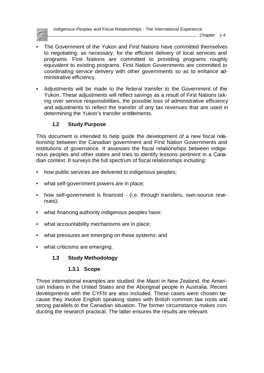<span id="page-13-0"></span>

- The Government of the Yukon and First Nations have committed themselves to negotiating, as necessary, for the efficient delivery of local services and programs. First Nations are committed to providing programs roughly equivalent to existing programs. First Nation Governments are committed to coordinating service delivery with other governments so as to enhance administrative efficiency.
- Adjustments will be made to the federal transfer to the Government of the Yukon. These adjustments will reflect savings as a result of First Nations taking over service responsibilities, the possible loss of administrative efficiency and adjustments to reflect the transfer of any tax revenues that are used in determining the Yukon's transfer entitlements.

#### **1.2 Study Purpose**

This document is intended to help guide the development of a new fiscal relationship between the Canadian government and First Nation Governments and institutions of governance. It assesses the fiscal relationships between indigenous peoples and other states and tries to identify lessons pertinent in a Canadian context. It surveys the full spectrum of fiscal relationships including:

- how public services are delivered to indigenous peoples;
- what self-government powers are in place;
- how self-government is financed (i.e. through transfers, own-source revenues);
- what financing authority indigenous peoples have;
- what accountability mechanisms are in place;
- what pressures are emerging on these systems; and
- what criticisms are emerging.

#### **1.3 Study Methodology**

#### **1.3.1 Scope**

Three international examples are studied: the Maori in New Zealand, the American Indians in the United States and the Aboriginal people in Australia. Recent developments with the CYFN are also included. These cases were chosen because they involve English speaking states with British common law roots and strong parallels to the Canadian situation. The former circumstance makes conducting the research practical. The latter ensures the results are relevant.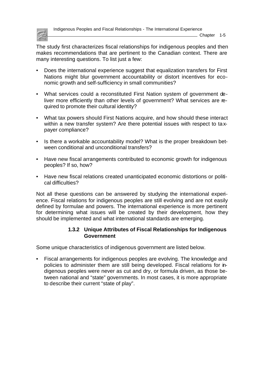<span id="page-14-0"></span>

The study first characterizes fiscal relationships for indigenous peoples and then makes recommendations that are pertinent to the Canadian context. There are many interesting questions. To list just a few:

- Does the international experience suggest that equalization transfers for First Nations might blur government accountability or distort incentives for economic growth and self-sufficiency in small communities?
- What services could a reconstituted First Nation system of government deliver more efficiently than other levels of government? What services are required to promote their cultural identity?
- What tax powers should First Nations acquire, and how should these interact within a new transfer system? Are there potential issues with respect to taxpayer compliance?
- Is there a workable accountability model? What is the proper breakdown between conditional and unconditional transfers?
- Have new fiscal arrangements contributed to economic growth for indigenous peoples? If so, how?
- Have new fiscal relations created unanticipated economic distortions or political difficulties?

Not all these questions can be answered by studying the international experience. Fiscal relations for indigenous peoples are still evolving and are not easily defined by formulae and powers. The international experience is more pertinent for determining what issues will be created by their development, how they should be implemented and what international standards are emerging.

#### **1.3.2 Unique Attributes of Fiscal Relationships for Indigenous Government**

Some unique characteristics of indigenous government are listed below.

• Fiscal arrangements for indigenous peoples are evolving. The knowledge and policies to administer them are still being developed. Fiscal relations for indigenous peoples were never as cut and dry, or formula driven, as those between national and "state" governments. In most cases, it is more appropriate to describe their current "state of play".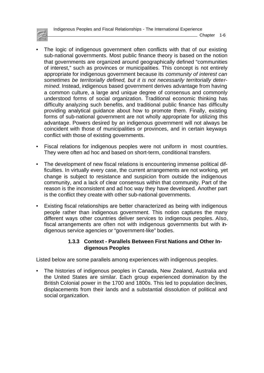<span id="page-15-0"></span>

- Chapter 1-6
- The logic of indigenous government often conflicts with that of our existing sub-national governments. Most public finance theory is based on the notion that governments are organized around geographically defined "communities of interest," such as provinces or municipalities. This concept is not entirely appropriate for indigenous government because its *community of interest can sometimes be territorially defined, but it is not necessarily territorially determined.* Instead, indigenous based government derives advantage from having a common culture, a large and unique degree of consensus and commonly understood forms of social organization. Traditional economic thinking has difficulty analyzing such benefits, and traditional public finance has difficulty providing analytical guidance about how to promote them. Finally, existing forms of sub-national government are not wholly appropriate for utilizing this advantage. Powers desired by an indigenous government will not always be coincident with those of municipalities or provinces, and in certain keyways conflict with those of existing governments.
- Fiscal relations for indigenous peoples were not uniform in most countries. They were often ad hoc and based on short-term, conditional transfers.
- The development of new fiscal relations is encountering immense political difficulties. In virtually every case, the current arrangements are not working, yet change is subject to resistance and suspicion from outside the indigenous community, and a lack of clear consensus within that community. Part of the reason is the inconsistent and ad hoc way they have developed. Another part is the conflict they create with other sub-national governments.
- Existing fiscal relationships are better characterized as being with indigenous people rather than indigenous government. This notion captures the many different ways other countries deliver services to indigenous peoples. Also, fiscal arrangements are often not with indigenous governments but with indigenous service agencies or "government-like" bodies.

#### **1.3.3 Context - Parallels Between First Nations and Other Indigenous Peoples**

Listed below are some parallels among experiences with indigenous peoples.

• The histories of indigenous peoples in Canada, New Zealand, Australia and the United States are similar. Each group experienced domination by the British Colonial power in the 1700 and 1800s. This led to population declines, displacements from their lands and a substantial dissolution of political and social organization.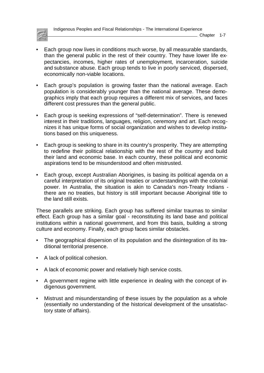

- Each group now lives in conditions much worse, by all measurable standards, than the general public in the rest of their country. They have lower life expectancies, incomes, higher rates of unemployment, incarceration, suicide and substance abuse. Each group tends to live in poorly serviced, dispersed, economically non-viable locations.
- Each group's population is growing faster than the national average. Each population is considerably younger than the national average. These demographics imply that each group requires a different mix of services, and faces different cost pressures than the general public.
- Each group is seeking expressions of "self-determination". There is renewed interest in their traditions, languages, religion, ceremony and art. Each recognizes it has unique forms of social organization and wishes to develop institutions based on this uniqueness.
- Each group is seeking to share in its country's prosperity. They are attempting to redefine their political relationship with the rest of the country and build their land and economic base. In each country, these political and economic aspirations tend to be misunderstood and often mistrusted.
- Each group, except Australian Aborigines, is basing its political agenda on a careful interpretation of its original treaties or understandings with the colonial power. In Australia, the situation is akin to Canada's non-Treaty Indians there are no treaties, but history is still important because Aboriginal title to the land still exists.

These parallels are striking. Each group has suffered similar traumas to similar effect. Each group has a similar goal - reconstituting its land base and political institutions within a national government, and from this basis, building a strong culture and economy. Finally, each group faces similar obstacles.

- The geographical dispersion of its population and the disintegration of its traditional territorial presence.
- A lack of political cohesion.
- A lack of economic power and relatively high service costs.
- A government regime with little experience in dealing with the concept of indigenous government.
- Mistrust and misunderstanding of these issues by the population as a whole (essentially no understanding of the historical development of the unsatisfactory state of affairs).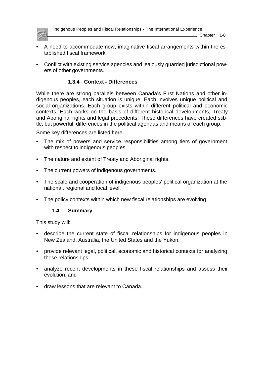<span id="page-17-0"></span>

- A need to accommodate new, imaginative fiscal arrangements within the established fiscal framework.
- Conflict with existing service agencies and jealously guarded jurisdictional powers of other governments.

## **1.3.4 Context - Differences**

While there are strong parallels between Canada's First Nations and other indigenous peoples, each situation is unique. Each involves unique political and social organizations. Each group exists within different political and economic contexts. Each works on the basis of different historical developments, Treaty and Aboriginal rights and legal precedents. These differences have created subtle, but powerful, differences in the political agendas and means of each group.

Some key differences are listed here.

- The mix of powers and service responsibilities among tiers of government with respect to indigenous peoples.
- The nature and extent of Treaty and Aboriginal rights.
- The current powers of indigenous governments.
- The scale and cooperation of indigenous peoples' political organization at the national, regional and local level.
- The policy contexts within which new fiscal relationships are evolving.

#### **1.4 Summary**

This study will:

- describe the current state of fiscal relationships for indigenous peoples in New Zealand, Australia, the United States and the Yukon;
- provide relevant legal, political, economic and historical contexts for analyzing these relationships;
- analyze recent developments in these fiscal relationships and assess their evolution; and
- draw lessons that are relevant to Canada.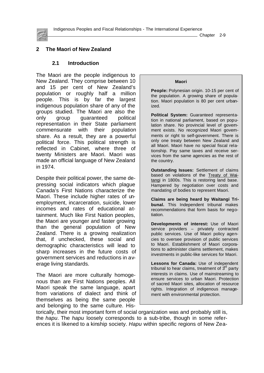<span id="page-18-0"></span>

Chapter 2-9

#### **2 The Maori of New Zealand**

#### **2.1 Introduction**

The Maori are the people indigenous to New Zealand. They comprise between 10 and 15 per cent of New Zealand's population or roughly half a million people. This is by far the largest indigenous population share of any of the groups studied. The Maori are also the only group guaranteed political representation in their State parliament commensurate with their population share. As a result, they are a powerful political force. This political strength is reflected in Cabinet, where three of twenty Ministers are Maori. Maori was made an official language of New Zealand in 1974.

Despite their political power, the same depressing social indicators which plague Canada's First Nations characterize the Maori. These include higher rates of unemployment, incarceration, suicide, lower incomes and rates of educational attainment. Much like First Nation peoples, the Maori are younger and faster growing than the general population of New Zealand. There is a growing realization that, if unchecked, these social and demographic characteristics will lead to sharp increases in the future costs of government services and reductions in average living standards.

The Maori are more culturally homogenous than are First Nations peoples. All Maori speak the same language, apart from variations of dialect and think of themselves as being the same people and belonging to the same culture. His-

#### **Maori**

**People:** Polynesian origin. 10-15 per cent of the population. A growing share of population. Maori population is 80 per cent urbanized.

**Political System:** Guaranteed representation in national parliament, based on population share. No provincial level of govemment exists. No recognized Maori govemments or right to self-government. There is only one treaty between New Zealand and all Maori. Maori have no special fiscal relationship. Pay same taxes and receive services from the same agencies as the rest of the country.

**Outstanding Issues:** Settlement of claims based on violations of the Treaty of Waitangi in 1800s. This is restoring land base. Hampered by negotiation over costs and mandating of bodies to represent Maori.

**Claims are being heard by Waitangi Tribunal.** This Independent tribunal makes recommendations that form basis for negotiation.

**Developments of interest:** Use of Maori service providers – privately contracted public services. Use of Maori policy agencies to oversee provision of public services to Maori. Establishment of Maori corporations to administer claims settlement, makes investments in public-like services for Maori.

**Lessons for Canada:** Use of independent tribunal to hear claims, treatment of  $3<sup>a</sup>$  party interests in claims. Use of mainstreaming to ensure services to urban Maori. Protection of sacred Maori sites, allocation of resource rights. Integration of indigenous management with environmental protection.

torically, their most important form of social organization was and probably still is, the *hapu*. The *hapu* loosely corresponds to a sub-tribe, though in some references it is likened to a kinship society. *Hapu* within specific regions of New Zea-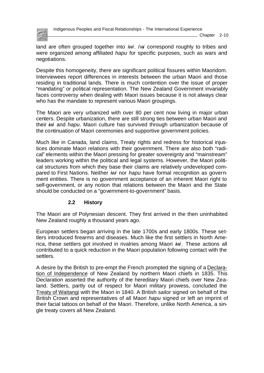<span id="page-19-0"></span>

 $\_$  Chapter 2-10

land are often grouped together into *iwi*. *Iwi* correspond roughly to tribes and were organized among affiliated *hapu* for specific purposes, such as wars and negotiations.

Despite this homogeneity, there are significant political fissures within Maoridom. Interviewees report differences in interests between the urban Maori and those residing in traditional lands. There is much contention over the issue of proper "mandating" or political representation. The New Zealand Government invariably faces controversy when dealing with Maori issues because it is not always clear who has the mandate to represent various Maori groupings.

The Maori are very urbanized with over 80 per cent now living in major urban centers. Despite urbanization, there are still strong ties between urban Maori and their *iwi* and *hapu*. Maori culture has survived through urbanization because of the continuation of Maori ceremonies and supportive government policies.

Much like in Canada, land claims, Treaty rights and redress for historical injustices dominate Maori relations with their government. There are also both "radical" elements within the Maori pressing for greater sovereignty and "mainstream" leaders working within the political and legal systems. However, the Maori political structures from which they base their claims are relatively undeveloped compared to First Nations. Neither *iwi* nor *hapu* have formal recognition as government entities. There is no government acceptance of an inherent Maori right to self-government, or any notion that relations between the Maori and the State should be conducted on a "government-to-government" basis.

#### **2.2 History**

The Maori are of Polynesian descent. They first arrived in the then uninhabited New Zealand roughly a thousand years ago.

European settlers began arriving in the late 1700s and early 1800s. These settlers introduced firearms and diseases. Much like the first settlers in North America, these settlers got involved in rivalries among Maori *iwi* . These actions all contributed to a quick reduction in the Maori population following contact with the settlers.

A desire by the British to pre-empt the French prompted the signing of a Declaration of Independence of New Zealand by northern Maori chiefs in 1835. This Declaration asserted the authority of the hereditary Maori chiefs over New Zealand. Settlers, partly out of respect for Maori military prowess, concluded the Treaty of Waitangi with the Maori in 1840. A British sailor signed on behalf of the British Crown and representatives of all Maori *hapu* signed or left an imprint of their facial tattoos on behalf of the Maori. Therefore, unlike North America, a single treaty covers all New Zealand.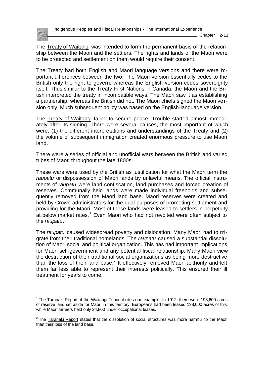

l

The Treaty of Waitangi was intended to form the permanent basis of the relationship between the Maori and the settlers. The rights and lands of the Maori were to be protected and settlement on them would require their consent.

The Treaty had both English and Maori language versions and there were important differences between the two. The Maori version essentially cedes to the British only the right to govern, whereas the English version cedes sovereignty itself. Thus,similar to the Treaty First Nations in Canada, the Maori and the British interpreted the treaty in incompatible ways. The Maori saw it as establishing a partnership, whereas the British did not. The Maori chiefs signed the Maori version only. Much subsequent policy was based on the English-language version.

The Treaty of Waitangi failed to secure peace. Trouble started almost immediately after its signing. There were several causes, the most important of which were: (1) the different interpretations and understandings of the Treaty and (2) the volume of subsequent immigration created enormous pressure to use Maori land.

There were a series of official and unofficial wars between the British and varied tribes of Maori throughout the late 1800s.

These wars were used by the British as justification for what the Maori term the *raupatu* or dispossession of Maori lands by unlawful means. The official instruments of *raupatu* were land confiscation, land purchases and forced creation of reserves. Communally held lands were made individual freeholds and subsequently removed from the Maori land base. Maori reserves were created and held by Crown administrators for the dual purposes of promoting settlement and providing for the Maori. Most of these lands were leased to settlers in perpetuity at below market rates.<sup>1</sup> Even Maori who had not revolted were often subject to the *raupatu*.

The *raupatu* caused widespread poverty and dislocation. Many Maori had to migrate from their traditional homelands. The *raupatu* caused a substantial dissolution of Maori social and political organization. This has had important implications for Maori self-government and any potential fiscal relationship. Many Maori view the destruction of their traditional social organizations as being more destructive than the loss of their land base.<sup>2</sup> It effectively removed Maori authority and left them far less able to represent their interests politically. This ensured their ill treatment for years to come.

<sup>&</sup>lt;sup>1</sup> The Taranaki Report of the Waitangi Tribunal cites one example. In 1912, there were 193,600 acres of reserve land set aside for Maori in this territory. Europeans had been leased 138,000 acres of this, while Maori farmers held only 24,800 under occupational leases.

 $2$  The Taranaki Report states that the dissolution of social structures was more harmful to the Maori than their loss of the land base.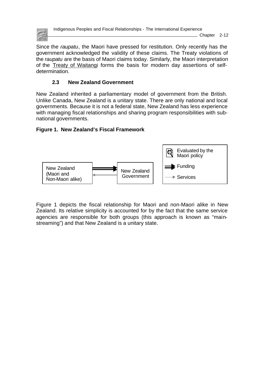<span id="page-21-0"></span>

Indigenous Peoples and Fiscal Relationships - The International Experience

 $\_$  Chapter 2-12

Since the *raupatu*, the Maori have pressed for restitution. Only recently has the government acknowledged the validity of these claims. The Treaty violations of the *raupatu* are the basis of Maori claims today. Similarly, the Maori interpretation of the Treaty of Waitangi forms the basis for modern day assertions of selfdetermination.

## **2.3 New Zealand Government**

New Zealand inherited a parliamentary model of government from the British. Unlike Canada, New Zealand is a unitary state. There are only national and local governments. Because it is not a federal state, New Zealand has less experience with managing fiscal relationships and sharing program responsibilities with subnational governments.

### **Figure 1. New Zealand's Fiscal Framework**



Figure 1 depicts the fiscal relationship for Maori and non-Maori alike in New Zealand. Its relative simplicity is accounted for by the fact that the same service agencies are responsible for both groups (this approach is known as "mainstreaming") and that New Zealand is a unitary state.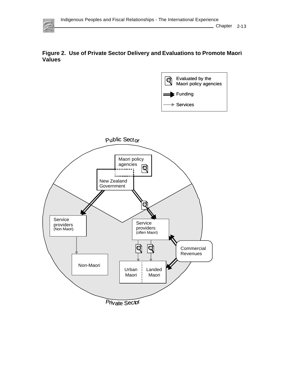





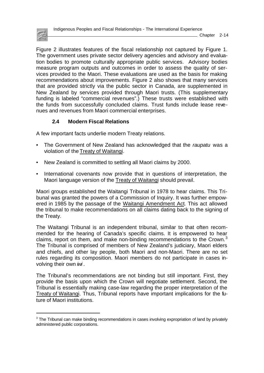

<span id="page-23-0"></span>Figure 2 illustrates features of the fiscal relationship not captured by Figure 1. The government uses private sector delivery agencies and advisory and evaluation bodies to promote culturally appropriate public services. Advisory bodies measure program outputs and outcomes in order to assess the quality of services provided to the Maori. These evaluations are used as the basis for making recommendations about improvements. Figure 2 also shows that many services that are provided strictly via the public sector in Canada, are supplemented in New Zealand by services provided through Maori trusts. (This supplementary funding is labeled "commercial revenues".) These trusts were established with the funds from successfully concluded claims. Trust funds include lease revenues and revenues from Maori commercial enterprises.

### **2.4 Modern Fiscal Relations**

l

A few important facts underlie modern Treaty relations.

- The Government of New Zealand has acknowledged that the *raupatu* was a violation of the Treaty of Waitangi.
- New Zealand is committed to settling all Maori claims by 2000.
- International covenants now provide that in questions of interpretation, the Maori language version of the Treaty of Waitangi should prevail.

Maori groups established the Waitangi Tribunal in 1978 to hear claims. This Tribunal was granted the powers of a Commission of Inquiry. It was further empowered in 1985 by the passage of the Waitangi Amendment Act. This act allowed the tribunal to make recommendations on all claims dating back to the signing of the Treaty.

The Waitangi Tribunal is an independent tribunal, similar to that often recommended for the hearing of Canada's specific claims. It is empowered to hear claims, report on them, and make non-binding recommendations to the Crown. $3$ The Tribunal is comprised of members of New Zealand's judiciary, Maori elders and chiefs, and other lay people, both Maori and non-Maori. There are no set rules regarding its composition. Maori members do not participate in cases involving their own *iwi* .

The Tribunal's recommendations are not binding but still important. First, they provide the basis upon which the Crown will negotiate settlement. Second, the Tribunal is essentially making case-law regarding the proper interpretation of the Treaty of Waitangi. Thus, Tribunal reports have important implications for the future of Maori institutions.

 $3$  The Tribunal can make binding recommendations in cases involving expropriation of land by privately administered public corporations.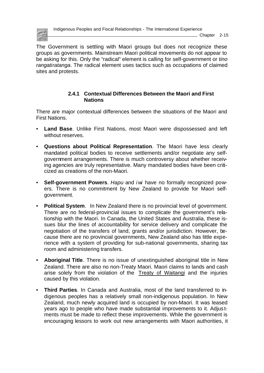<span id="page-24-0"></span>

Chapter 2-15

The Government is settling with Maori groups but does not recognize these groups as governments. Mainstream Maori political movements do not appear to be asking for this. Only the "radical" element is calling for self-government or *tino rangatiratanga*. The radical element uses tactics such as occupations of claimed sites and protests.

#### **2.4.1 Contextual Differences Between the Maori and First Nations**

There are major contextual differences between the situations of the Maori and First Nations.

- **Land Base**. Unlike First Nations, most Maori were dispossessed and left without reserves.
- **Questions about Political Representation**. The Maori have less clearly mandated political bodies to receive settlements and/or negotiate any selfgovernment arrangements. There is much controversy about whether receiving agencies are truly representative. Many mandated bodies have been criticized as creations of the non-Maori.
- **Self-government Powers**. *Hapu* and *i wi* have no formally recognized powers. There is no commitment by New Zealand to provide for Maori selfgovernment.
- **Political System**. In New Zealand there is no provincial level of government. There are no federal-provincial issues to complicate the government's relationship with the Maori. In Canada, the United States and Australia, these issues blur the lines of accountability for service delivery and complicate the negotiation of the transfers of land, grants and/or jurisdiction. However, because there are no provincial governments, New Zealand also has little experience with a system of providing for sub-national governments, sharing tax room and administering transfers.
- **Aboriginal Title**. There is no issue of unextinguished aboriginal title in New Zealand. There are also no non-Treaty Maori. Maori claims to lands and cash arise solely from the violation of the Treaty of Waitangi and the injuries caused by this violation.
- **Third Parties**. In Canada and Australia, most of the land transferred to indigenous peoples has a relatively small non-indigenous population. In New Zealand, much newly acquired land is occupied by non-Maori. It was leased years ago to people who have made substantial improvements to it. Adjus tments must be made to reflect these improvements. While the government is encouraging lessors to work out new arrangements with Maori authorities, it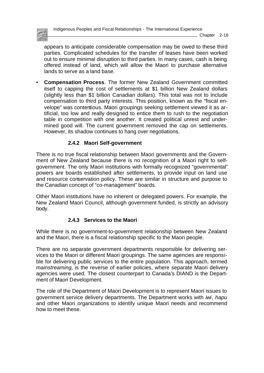<span id="page-25-0"></span>

Chapter 2-16

appears to anticipate considerable compensation may be owed to these third parties. Complicated schedules for the transfer of leases have been worked out to ensure minimal disruption to third parties. In many cases, cash is being offered instead of land, which will allow the Maori to purchase alternative lands to serve as a land base.

• **Compensation Process**. The former New Zealand Government committed itself to capping the cost of settlements at \$1 billion New Zealand dollars (slightly less than \$1 billion Canadian dollars). This total was not to include compensation to third party interests. This position, known as the "fiscal envelope" was contentious. Maori groupings seeking settlement viewed it as artificial, too low and really designed to entice them to rush to the negotiation table in competition with one another. It created political unrest and undermined good will. The current government removed the cap on settlements. However, its shadow continues to hang over negotiations.

#### **2.4.2 Maori Self-government**

There is no true fiscal relationship between Maori governments and the Government of New Zealand because there is no recognition of a Maori right to selfgovernment. The only Maori institutions with formally recognized "governmental" powers are boards established after settlements, to provide input on land use and resource conservation policy. These are similar in structure and purpose to the Canadian concept of "co-management" boards.

Other Maori institutions have no inherent or delegated powers. For example, the New Zealand Maori Council, although government funded, is strictly an advisory body.

#### **2.4.3 Services to the Maori**

While there is no government-to-government relationship between New Zealand and the Maori, there is a fiscal relationship specific to the Maori people.

There are no separate government departments responsible for delivering services to the Maori or different Maori groupings. The same agencies are responsible for delivering public services to the entire population. This approach, termed *mainstreaming,* is the reverse of earlier policies, where separate Maori delivery agencies were used. The closest counterpart to Canada's DIAND is the Department of Maori Development.

The role of the Department of Maori Development is to represent Maori issues to government service delivery departments. The Department works with *iwi*, *hapu* and other Maori organizations to identify unique Maori needs and recommend how to meet these.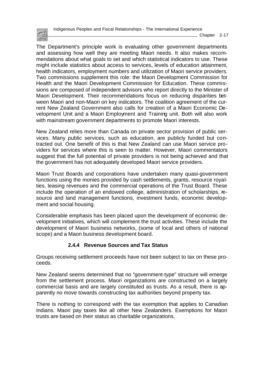<span id="page-26-0"></span>

 $\_$  Chapter 2-17

The Department's principle work is evaluating other government departments and assessing how well they are meeting Maori needs. It also makes recommendations about what goals to set and which statistical indicators to use. These might include statistics about access to services, levels of education attainment, health indicators, employment numbers and utilization of Maori service providers. Two commissions supplement this role: the Maori Development Commission for Health and the Maori Development Commission for Education. These commissions are composed of independent advisors who report directly to the Minister of Maori Development. Their recommendations focus on reducing disparities between Maori and non-Maori on key indicators. The coalition agreement of the current New Zealand Government also calls for creation of a Maori Economic Development Unit and a Maori Employment and Training unit. Both will also work with mainstream government departments to promote Maori interests.

New Zealand relies more than Canada on private sector provision of public services. Many public services, such as education, are publicly funded but contracted out. One benefit of this is that New Zealand can use Maori service providers for services where this is seen to matter. However, Maori commentators suggest that the full potential of private providers is not being achieved and that the government has not adequately developed Maori service providers.

Maori Trust Boards and corporations have undertaken many quasi-government functions using the monies provided by cash settlements, grants, resource royalties, leasing revenues and the commercial operations of the Trust Board. These include the operation of an endowed college, administration of scholarships, resource and land management functions, investment funds, economic development and social housing.

Considerable emphasis has been placed upon the development of economic development initiatives, which will complement the trust activities. These include the development of Maori business networks, (some of local and others of national scope) and a Maori business development board.

### **2.4.4 Revenue Sources and Tax Status**

Groups receiving settlement proceeds have not been subject to tax on these proceeds.

New Zealand seems determined that no "government-type" structure will emerge from the settlement process. Maori organizations are constructed on a largely commercial basis and are largely constituted as trusts. As a result, there is apparently no move towards constructing tax authorities beyond property tax.

There is nothing to correspond with the tax exemption that applies to Canadian Indians. Maori pay taxes like all other New Zealanders. Exemptions for Maori trusts are based on their status as charitable organizations.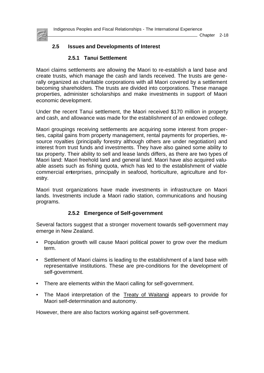<span id="page-27-0"></span>

 $\_$  Chapter 2-18

#### **2.5 Issues and Developments of Interest**

#### **2.5.1 Tanui Settlement**

Maori claims settlements are allowing the Maori to re-establish a land base and create trusts, which manage the cash and lands received. The trusts are generally organized as charitable corporations with all Maori covered by a settlement becoming shareholders. The trusts are divided into corporations. These manage properties, administer scholarships and make investments in support of Maori economic development.

Under the recent Tanui settlement, the Maori received \$170 million in property and cash, and allowance was made for the establishment of an endowed college.

Maori groupings receiving settlements are acquiring some interest from properties, capital gains from property management, rental payments for properties, resource royalties (principally forestry although others are under negotiation) and interest from trust funds and investments. They have also gained some ability to tax property. Their ability to sell and lease lands differs, as there are two types of Maori land: Maori freehold land and general land. Maori have also acquired valuable assets such as fishing quota, which has led to the establishment of viable commercial enterprises, principally in seafood, horticulture, agriculture and forestry.

Maori trust organizations have made investments in infrastructure on Maori lands. Investments include a Maori radio station, communications and housing programs.

#### **2.5.2 Emergence of Self-government**

Several factors suggest that a stronger movement towards self-government may emerge in New Zealand.

- Population growth will cause Maori political power to grow over the medium term.
- Settlement of Maori claims is leading to the establishment of a land base with representative institutions. These are pre-conditions for the development of self-government.
- There are elements within the Maori calling for self-government.
- The Maori interpretation of the Treaty of Waitangi appears to provide for Maori self-determination and autonomy.

However, there are also factors working against self-government.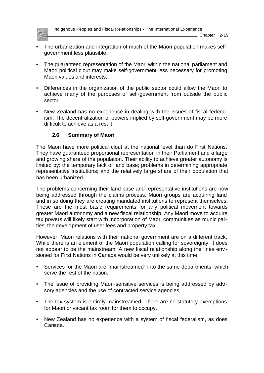<span id="page-28-0"></span>

Indigenous Peoples and Fiscal Relationships - The International Experience

Chapter 2-19

- The urbanization and integration of much of the Maori population makes selfgovernment less plausible.
- The guaranteed representation of the Maori within the national parliament and Maori political clout may make self-government less necessary for promoting Maori values and interests.
- Differences in the organization of the public sector could allow the Maori to achieve many of the purposes of self-government from outside the public sector.
- New Zealand has no experience in dealing with the issues of fiscal federalism. The decentralization of powers implied by self-government may be more difficult to achieve as a result.

## **2.6 Summary of Maori**

The Maori have more political clout at the national level than do First Nations. They have guaranteed proportional representation in their Parliament and a large and growing share of the population. Their ability to achieve greater autonomy is limited by: the temporary lack of land base; problems in determining appropriate representative institutions; and the relatively large share of their population that has been urbanized.

The problems concerning their land base and representative institutions are now being addressed through the claims process. Maori groups are acquiring land and in so doing they are creating mandated institutions to represent themselves. These are the most basic requirements for any political movement towards greater Maori autonomy and a new fiscal relationship. Any Maori move to acquire tax powers will likely start with incorporation of Maori communities as municipalities, the development of user fees and property tax.

However, Maori relations with their national government are on a different track. While there is an element of the Maori population calling for sovereignty, it does not appear to be the mainstream. A new fiscal relationship along the lines envisioned for First Nations in Canada would be very unlikely at this time.

- Services for the Maori are "mainstreamed" into the same departments, which serve the rest of the nation.
- The issue of providing Maori-sensitive services is being addressed by advisory agencies and the use of contracted service agencies.
- The tax system is entirely mainstreamed. There are no statutory exemptions for Maori or vacant tax room for them to occupy.
- New Zealand has no experience with a system of fiscal federalism, as does Canada.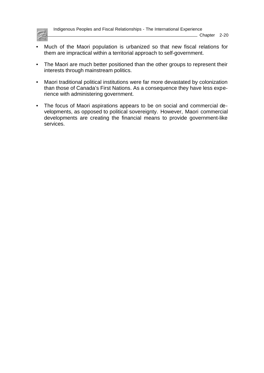

- Much of the Maori population is urbanized so that new fiscal relations for them are impractical within a territorial approach to self-government.
- The Maori are much better positioned than the other groups to represent their interests through mainstream politics.
- Maori traditional political institutions were far more devastated by colonization than those of Canada's First Nations. As a consequence they have less experience with administering government.
- The focus of Maori aspirations appears to be on social and commercial developments, as opposed to political sovereignty. However, Maori commercial developments are creating the financial means to provide government-like services.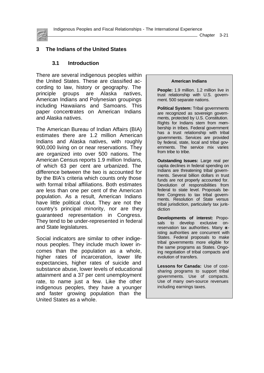<span id="page-30-0"></span>

 $\_$  Chapter 3-21

#### **3 The Indians of the United States**

#### **3.1 Introduction**

There are several indigenous peoples within the United States. These are classified according to law, history or geography. The principle groups are Alaska natives, American Indians and Polynesian groupings including Hawaiians and Samoans. This paper concentrates on American Indians and Alaska natives.

The American Bureau of Indian Affairs (BIA) estimates there are 1.2 million American Indians and Alaska natives, with roughly 900,000 living on or near reservations. They are organized into over 500 nations. The American Census reports 1.9 million Indians, of which 63 per cent are urbanized. The difference between the two is accounted for by the BIA's criteria which counts only those with formal tribal affiliations. Both estimates are less than one per cent of the American population. As a result, American Indians have little political clout. They are not the country's principal minority, nor are they guaranteed representation in Congress. They tend to be under-represented in federal and State legislatures.

Social indicators are similar to other indigenous peoples. They include much lower incomes than the population as a whole, higher rates of incarceration, lower life expectancies, higher rates of suicide and substance abuse, lower levels of educational attainment and a 37 per cent unemployment rate, to name just a few. Like the other indigenous peoples, they have a younger and faster growing population than the United States as a whole.

#### **American Indians**

**People:** 1.9 million. 1.2 million live in trust relationship with U.S. government. 500 separate nations.

**Political System:** Tribal governments are recognized as sovereign governments, protected by U.S. Constitution. Rights for Indians stem from membership in tribes. Federal government has a trust relationship with tribal governments. Services are provided by federal, state, local and tribal governments. The service mix varies from tribe to tribe.

**Outstanding Issues:** Large real per capita declines in federal spending on Indians are threatening tribal governments. Several billion dollars in trust funds are not properly accounted for. Devolution of responsibilities from federal to state level. Proposals before Congress to tax tribal governments. Resolution of State versus tribal jurisdiction, particularly tax jurisdiction

**Developments of interest:** Proposals to develop exclusive onreservation tax authorities. Many  $\alpha$ isting authorities are concurrent with States. Federal proposals to make tribal governments more eligible for the same programs as States. Ongoing negotiation of tribal compacts and evolution of transfers.

**Lessons for Canada:** Use of costsharing programs to support tribal governments. Use of compacts. Use of many own-source revenues including earnings taxes.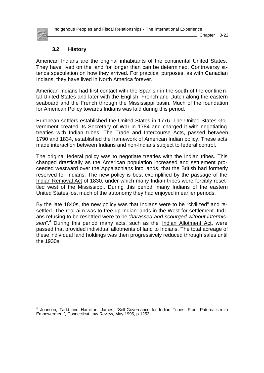Indigenous Peoples and Fiscal Relationships - The International Experience

<span id="page-31-0"></span>

l

#### Chapter 3-22

#### **3.2 History**

American Indians are the original inhabitants of the continental United States. They have lived on the land for longer than can be determined. Controversy attends speculation on how they arrived. For practical purposes, as with Canadian Indians, they have lived in North America forever.

American Indians had first contact with the Spanish in the south of the continental United States and later with the English, French and Dutch along the eastern seaboard and the French through the Mississippi basin. Much of the foundation for American Policy towards Indians was laid during this period.

European settlers established the United States in 1776. The United States Government created its Secretary of War in 1784 and charged it with negotiating treaties with Indian tribes. The Trade and Intercourse Acts, passed between 1790 and 1834, established the framework of American Indian policy. These acts made interaction between Indians and non-Indians subject to federal control.

The original federal policy was to negotiate treaties with the Indian tribes. This changed drastically as the American population increased and settlement proceeded westward over the Appalachians into lands, that the British had formerly reserved for Indians. The new policy is best exemplified by the passage of the Indian Removal Act of 1830, under which many Indian tribes were forcibly resettled west of the Mississippi. During this period, many Indians of the eastern United States lost much of the autonomy they had enjoyed in earlier periods.

By the late 1840s, the new policy was that Indians were to be "civilized" and resettled. The real aim was to free up Indian lands in the West for settlement. Indians refusing to be resettled were to be *"harassed and scourged without intermis*sion".<sup>4</sup> During this period many acts, such as the *Indian Allotment Act*, were passed that provided individual allotments of land to Indians. The total acreage of these individual land holdings was then progressively reduced through sales until the 1930s.

<sup>4</sup> Johnson, Tadd and Hamilton, James, "Self-Governance for Indian Tribes: From Paternalism to Empowerment", Connecticut Law Review, May 1995, p 1253.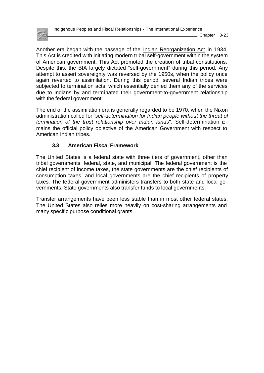<span id="page-32-0"></span>

Chapter 3-23

Another era began with the passage of the Indian Reorganization Act in 1934. This Act is credited with initiating modern tribal self-government within the system of American government. This Act promoted the creation of tribal constitutions. Despite this, the BIA largely dictated "self-government" during this period. Any attempt to assert sovereignty was reversed by the 1950s, when the policy once again reverted to assimilation. During this period, several Indian tribes were subjected to termination acts, which essentially denied them any of the services due to Indians by and terminated their government-to-government relationship with the federal government.

The end of the assimilation era is generally regarded to be 1970, when the Nixon administration called for "*self-determination for Indian people without the threat of termination of the trust relationship over Indian lands*". Self-determination remains the official policy objective of the American Government with respect to American Indian tribes.

### **3.3 American Fiscal Framework**

The United States is a federal state with three tiers of government, other than tribal governments: federal, state, and municipal. The federal government is the chief recipient of income taxes, the state governments are the chief recipients of consumption taxes, and local governments are the chief recipients of property taxes. The federal government administers transfers to both state and local governments. State governments also transfer funds to local governments.

Transfer arrangements have been less stable than in most other federal states. The United States also relies more heavily on cost-sharing arrangements and many specific purpose conditional grants.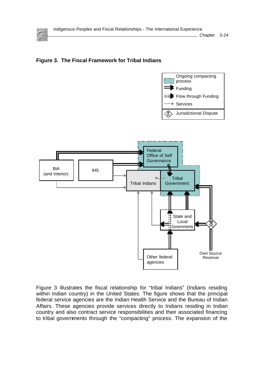

Chapter 3-24

### **Figure 3. The Fiscal Framework for Tribal Indians**





Figure 3 illustrates the fiscal relationship for "tribal Indians" (Indians residing within Indian country) in the United States. The figure shows that the principal federal service agencies are the Indian Health Service and the Bureau of Indian Affairs. These agencies provide services directly to Indians residing in Indian country and also contract service responsibilities and their associated financing to tribal governments through the "compacting" process. The expansion of the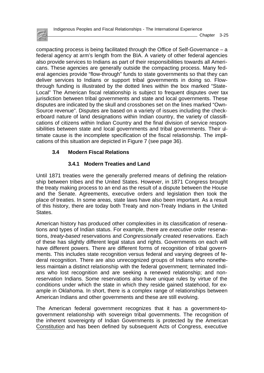<span id="page-34-0"></span>

compacting process is being facilitated through the Office of Self-Governance – a federal agency at arm's length from the BIA. A variety of other federal agencies also provide services to Indians as part of their responsibilities towards all Americans. These agencies are generally outside the compacting process. Many federal agencies provide "flow-through" funds to state governments so that they can deliver services to Indians or support tribal governments in doing so. Flowthrough funding is illustrated by the dotted lines within the box marked "State-Local" The American fiscal relationship is subject to frequent disputes over tax jurisdiction between tribal governments and state and local governments. These disputes are indicated by the skull and crossbones set on the lines marked "Own-Source revenue". Disputes are based on a variety of issues including the checkerboard nature of land designations within Indian country, the variety of classifications of citizens within Indian Country and the final division of service responsibilities between state and local governments and tribal governments. Their utimate cause is the incomplete specification of the fiscal relationship. The implications of this situation are depicted in Figure 7 (see page 36).

#### **3.4 Modern Fiscal Relations**

#### **3.4.1 Modern Treaties and Land**

Until 1871 treaties were the generally preferred means of defining the relationship between tribes and the United States. However, in 1871 Congress brought the treaty making process to an end as the result of a dispute between the House and the Senate. Agreements, executive orders and legislation then took the place of treaties. In some areas, state laws have also been important. As a result of this history, there are today both Treaty and non-Treaty Indians in the United States.

American history has produced other complexities in its classification of reservations and types of Indian status. For example, there are *executive order* reservations, *treaty-based* reservations and *Congressionally created* reservations. Each of these has slightly different legal status and rights. Governments on each will have different powers. There are different forms of recognition of tribal governments. This includes state recognition versus federal and varying degrees of federal recognition. There are also unrecognized groups of Indians who nonetheless maintain a distinct relationship with the federal government; terminated Indians who lost recognition and are seeking a renewed relationship; and nonreservation Indians. Some reservations also have unique rules by virtue of the conditions under which the state in which they reside gained statehood, for example in Oklahoma. In short, there is a complex range of relationships between American Indians and other governments and these are still evolving.

The American federal government recognizes that it has a government-togovernment relationship with sovereign tribal governments. The recognition of the inherent sovereignty of Indian Governments is protected by the American Constitution and has been defined by subsequent Acts of Congress, executive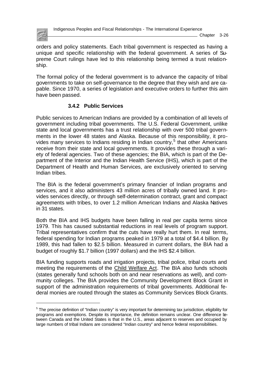<span id="page-35-0"></span>

l

orders and policy statements. Each tribal government is respected as having a unique and specific relationship with the federal government. A series of Supreme Court rulings have led to this relationship being termed a trust relationship.

The formal policy of the federal government is to advance the capacity of tribal governments to take on self-governance to the degree that they wish and are capable. Since 1970, a series of legislation and executive orders to further this aim have been passed.

#### **3.4.2 Public Services**

Public services to American Indians are provided by a combination of all levels of government including tribal governments. The U.S. Federal Government, unlike state and local governments has a trust relationship with over 500 tribal governments in the lower 48 states and Alaska. Because of this responsibility, it provides many services to Indians residing in Indian country,<sup>5</sup> that other Americans receive from their state and local governments. It provides these through a variety of federal agencies. Two of these agencies; the BIA, which is part of the Department of the Interior and the Indian Health Service (IHS), which is part of the Department of Health and Human Services, are exclusively oriented to serving Indian tribes.

The BIA is the federal government's primary financier of Indian programs and services, and it also administers 43 million acres of tribally owned land. It provides services directly, or through self-determination contract, grant and compact agreements with tribes, to over 1.2 million American Indians and Alaska Natives in 31 states.

Both the BIA and IHS budgets have been falling in real per capita terms since 1979. This has caused substantial reductions in real levels of program support. Tribal representatives confirm that the cuts have really hurt them. In real terms, federal spending for Indian programs peaked in 1979 at a total of \$4.4 billion. By 1989, this had fallen to \$2.5 billion. Measured in current dollars, the BIA had a budget of roughly \$1.7 billion (1997 dollars) and the IHS \$2.4 billion.

BIA funding supports roads and irrigation projects, tribal police, tribal courts and meeting the requirements of the Child Welfare Act. The BIA also funds schools (states generally fund schools both on and near reservations as well), and community colleges. The BIA provides the Community Development Block Grant in support of the administration requirements of tribal governments. Additional federal monies are routed through the states as Community Services Block Grants.

<sup>&</sup>lt;sup>5</sup> The precise definition of "Indian country" is very important for determining tax jurisdiction, eligibility for programs and exemptions. Despite its importance, the definition remains unclear. One difference between Canada and the United States is that in the U.S., areas adjacent to reserves and occupied by large numbers of tribal Indians are considered "Indian country" and hence federal responsibilities.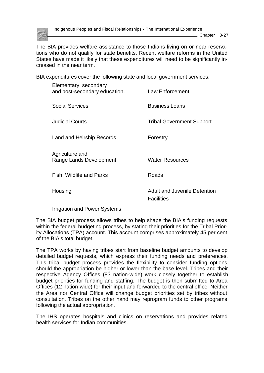

Indigenous Peoples and Fiscal Relationships - The International Experience

Chapter 3-27

The BIA provides welfare assistance to those Indians living on or near reservations who do not qualify for state benefits. Recent welfare reforms in the United States have made it likely that these expenditures will need to be significantly increased in the near term.

BIA expenditures cover the following state and local government services:

| Elementary, secondary<br>and post-secondary education. | <b>Law Enforcement</b>                                   |
|--------------------------------------------------------|----------------------------------------------------------|
| <b>Social Services</b>                                 | <b>Business Loans</b>                                    |
| <b>Judicial Courts</b>                                 | <b>Tribal Government Support</b>                         |
| Land and Heirship Records                              | Forestry                                                 |
| Agriculture and<br>Range Lands Development             | <b>Water Resources</b>                                   |
| Fish, Wildlife and Parks                               | Roads                                                    |
| Housing                                                | <b>Adult and Juvenile Detention</b><br><b>Facilities</b> |

Irrigation and Power Systems

The BIA budget process allows tribes to help shape the BIA's funding requests within the federal budgeting process, by stating their priorities for the Tribal Priority Allocations (TPA) account. This account comprises approximately 45 per cent of the BIA's total budget.

The TPA works by having tribes start from baseline budget amounts to develop detailed budget requests, which express their funding needs and preferences. This tribal budget process provides the flexibility to consider funding options should the appropriation be higher or lower than the base level. Tribes and their respective Agency Offices (83 nation-wide) work closely together to establish budget priorities for funding and staffing. The budget is then submitted to Area Offices (12 nation-wide) for their input and forwarded to the central office. Neither the Area nor Central Office will change budget priorities set by tribes without consultation. Tribes on the other hand may reprogram funds to other programs following the actual appropriation.

The IHS operates hospitals and clinics on reservations and provides related health services for Indian communities.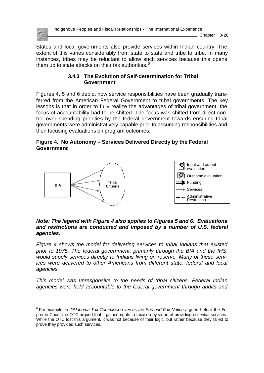

Indigenous Peoples and Fiscal Relationships - The International Experience

Chapter 3-28

States and local governments also provide services within Indian country. The extent of this varies considerably from state to state and tribe to tribe. In many instances, tribes may be reluctant to allow such services because this opens them up to state attacks on their tax authorities. $<sup>6</sup>$ </sup>

### **3.4.3 The Evolution of Self-determination for Tribal Government**

Figures 4, 5 and 6 depict how service responsibilities have been gradually transferred from the American Federal Government to tribal governments. The key lessons is that in order to fully realize the advantages of tribal government, the focus of accountability had to be shifted. The focus was shifted from direct control over spending priorities by the federal government towards ensuring tribal governments were administratively capable prior to assuming responsibilities and then focusing evaluations on program outcomes.

## **Figure 4. No Autonomy – Services Delivered Directly by the Federal Government**



#### *Note: The legend with Figure 4 also applies to Figures 5 and 6. Evaluations and restrictions are conducted and imposed by a number of U.S. federal agencies.*

*Figure 4 shows the model for delivering services to tribal Indians that existed prior to 1975. The federal government, primarily through the BIA and the IHS, would supply services directly to Indians living on reserve. Many of these services were delivered to other Americans from different state, federal and local agencies.*

*This model was unresponsive to the needs of tribal citizens. Federal Indian agencies were held accountable to the federal government through audits and*

<sup>6</sup> For example, in *Oklahoma Tax Commission versus the Sac and Fox Nation* argued before the Supreme Court, the OTC argued that it gained rights to taxation by virtue of providing essential services. While the OTC lost this argument, it was not because of their logic, but rather because they failed to prove they provided such services.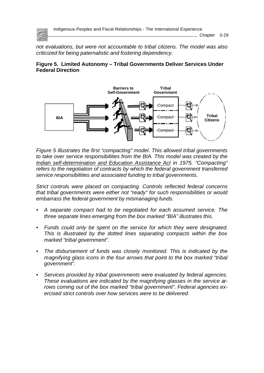

*not evaluations, but were not accountable to tribal citizens. The model was also criticized for being paternalistic and fostering dependency.*

### **Figure 5. Limited Autonomy – Tribal Governments Deliver Services Under Federal Direction**



*Figure 5 illustrates the first "compacting" model. This allowed tribal governments to take over service responsibilities from the BIA. This model was created by the Indian self-determination and Education Assistance Act in 1975. "Compacting" refers to the negotiation of contracts by which the federal government transferred service responsibilities and associated funding to tribal governments.*

*Strict controls were placed on compacting. Controls reflected federal concerns that tribal governments were either not "ready" for such responsibilities or would embarrass the federal government by mismanaging funds.*

- *• A separate compact had to be negotiated for each assumed service. The three separate lines emerging from the box marked "BIA" illustrates this.*
- *• Funds could only be spent on the service for which they were designated. This is illustrated by the dotted lines separating compacts within the box marked "tribal government".*
- *• The disbursement of funds was closely monitored. This is indicated by the magnifying glass icons in the four arrows that point to the box marked "tribal government".*
- *• Services provided by tribal governments were evaluated by federal agencies. These evaluations are indicated by the magnifying glasses in the service arrows coming out of the box marked "tribal government". Federal agencies exercised strict controls over how services were to be delivered.*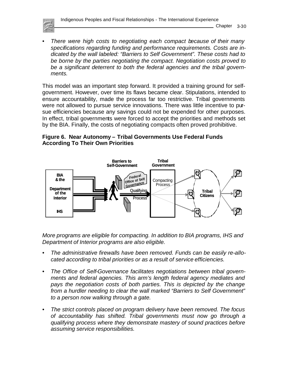

*• There were high costs to negotiating each compact because of their many specifications regarding funding and performance requirements. Costs are indicated by the wall labeled: "Barriers to Self Government". These costs had to be borne by the parties negotiating the compact. Negotiation costs proved to be a significant deterrent to both the federal agencies and the tribal governments.* 

This model was an important step forward. It provided a training ground for selfgovernment. However, over time its flaws became clear. Stipulations, intended to ensure accountability, made the process far too restrictive. Tribal governments were not allowed to pursue service innovations. There was little incentive to pursue efficiencies because any savings could not be expended for other purposes. In effect, tribal governments were forced to accept the priorities and methods set by the BIA. Finally, the costs of negotiating compacts often proved prohibitive.

# **Figure 6. Near Autonomy – Tribal Governments Use Federal Funds According To Their Own Priorities**



*More programs are eligible for compacting. In addition to BIA programs, IHS and Department of Interior programs are also eligible.*

- *• The administrative firewalls have been removed. Funds can be easily re-allocated according to tribal priorities or as a result of service efficiencies.*
- *• The Office of Self-Governance facilitates negotiations between tribal governments and federal agencies. This arm's length federal agency mediates and pays the negotiation costs of both parties. This is depicted by the change from a hurdler needing to clear the wall marked "Barriers to Self Government" to a person now walking through a gate.*
- *• The strict controls placed on program delivery have been removed. The focus of accountability has shifted. Tribal governments must now go through a qualifying process where they demonstrate mastery of sound practices before assuming service responsibilities.*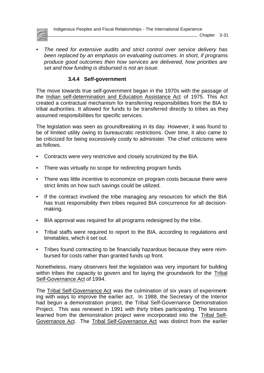

Chapter 3-31

*• The need for extensive audits and strict control over service delivery has been replaced by an emphasis on evaluating outcomes. In short, if programs produce good outcomes then how services are delivered, how priorities are set and how funding is disbursed is not an issue.*

# **3.4.4 Self-government**

The move towards true self-government began in the 1970s with the passage of the Indian self-determination and Education Assistance Act of 1975. This Act created a contractual mechanism for transferring responsibilities from the BIA to tribal authorities. It allowed for funds to be transferred directly to tribes as they assumed responsibilities for specific services.

The legislation was seen as groundbreaking in its day. However, it was found to be of limited utility owing to bureaucratic restrictions. Over time, it also came to be criticized for being excessively costly to administer. The chief criticisms were as follows.

- Contracts were very restrictive and closely scrutinized by the BIA.
- There was virtually no scope for redirecting program funds.
- There was little incentive to economize on program costs because there were strict limits on how such savings could be utilized.
- If the contract involved the tribe managing any resources for which the BIA has trust responsibility then tribes required BIA concurrence for all decisionmaking.
- BIA approval was required for all programs redesigned by the tribe.
- Tribal staffs were required to report to the BIA, according to regulations and timetables, which it set out.
- Tribes found contracting to be financially hazardous because they were reimbursed for costs rather than granted funds up front.

Nonetheless, many observers feel the legislation was very important for building within tribes the capacity to govern and for laying the groundwork for the Tribal Self-Governance Act of 1994.

The Tribal Self-Governance Act was the culmination of six years of experimenting with ways to improve the earlier act. In 1988, the Secretary of the Interior had begun a demonstration project, the Tribal Self-Governance Demonstration Project. This was renewed in 1991 with thirty tribes participating. The lessons learned from the demonstration project were incorporated into the Tribal Self-Governance Act. The Tribal Self-Governance Act was distinct from the earlier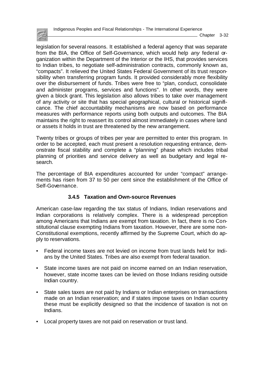

 $\_$  Chapter 3-32

legislation for several reasons. It established a federal agency that was separate from the BIA, the Office of Self-Governance, which would help *any* federal organization within the Department of the Interior or the IHS, that provides services to Indian tribes, to negotiate self-administration contracts, commonly known as, "compacts". It relieved the United States Federal Government of its trust responsibility when transferring program funds. It provided considerably more flexibility over the disbursement of funds. Tribes were free to "plan, conduct, consolidate and administer programs, services and functions". In other words, they were given a block grant. This legislation also allows tribes to take over management of any activity or site that has special geographical, cultural or historical significance. The chief accountability mechanisms are now based on performance measures with performance reports using both outputs and outcomes. The BIA maintains the right to reassert its control almost immediately in cases where land or assets it holds in trust are threatened by the new arrangement.

Twenty tribes or groups of tribes per year are permitted to enter this program. In order to be accepted, each must present a resolution requesting entrance, demonstrate fiscal stability and complete a "planning" phase which includes tribal planning of priorities and service delivery as well as budgetary and legal research.

The percentage of BIA expenditures accounted for under "compact" arrangements has risen from 37 to 50 per cent since the establishment of the Office of Self-Governance.

# **3.4.5 Taxation and Own-source Revenues**

American case-law regarding the tax status of Indians, Indian reservations and Indian corporations is relatively complex. There is a widespread perception among Americans that Indians are exempt from taxation. In fact, there is no Constitutional clause exempting Indians from taxation. However, there are some non-Constitutional exemptions, recently affirmed by the Supreme Court, which do apply to reservations.

- Federal income taxes are not levied on income from trust lands held for Indians by the United States. Tribes are also exempt from federal taxation.
- State income taxes are not paid on income earned on an Indian reservation, however, state income taxes can be levied on those Indians residing outside Indian country.
- State sales taxes are not paid by Indians or Indian enterprises on transactions made on an Indian reservation; and if states impose taxes on Indian country these must be explicitly designed so that the incidence of taxation is not on Indians.
- Local property taxes are not paid on reservation or trust land.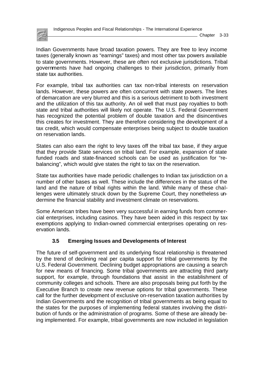

Indian Governments have broad taxation powers. They are free to levy income taxes (generally known as "earnings" taxes) and most other tax powers available to state governments. However, these are often not exclusive jurisdictions. Tribal governments have had ongoing challenges to their jurisdiction, primarily from state tax authorities.

For example, tribal tax authorities can tax non-tribal interests on reservation lands. However, these powers are often concurrent with state powers. The lines of demarcation are very blurred and this is a serious detriment to both investment and the utilization of this tax authority. An oil well that must pay royalties to both state and tribal authorities will likely not operate. The U.S. Federal Government has recognized the potential problem of double taxation and the disincentives this creates for investment. They are therefore considering the development of a tax credit, which would compensate enterprises being subject to double taxation on reservation lands.

States can also earn the right to levy taxes off the tribal tax base, if they argue that they provide State services on tribal land. For example, expansion of state funded roads and state-financed schools can be used as justification for "rebalancing", which would give states the right to tax on the reservation.

State tax authorities have made periodic challenges to Indian tax jurisdiction on a number of other bases as well. These include the differences in the status of the land and the nature of tribal rights within the land. While many of these challenges were ultimately struck down by the Supreme Court, they nonetheless undermine the financial stability and investment climate on reservations.

Some American tribes have been very successful in earning funds from commercial enterprises, including casinos. They have been aided in this respect by tax exemptions applying to Indian-owned commercial enterprises operating on reservation lands.

# **3.5 Emerging Issues and Developments of Interest**

The future of self-government and its underlying fiscal relationship is threatened by the trend of declining real per capita support for tribal governments by the U.S. Federal Government. Declining budget appropriations are causing a search for new means of financing. Some tribal governments are attracting third party support, for example, through foundations that assist in the establishment of community colleges and schools. There are also proposals being put forth by the Executive Branch to create new revenue options for tribal governments. These call for the further development of exclusive on-reservation taxation authorities by Indian Governments and the recognition of tribal governments as being equal to the states for the purposes of implementing federal statutes involving the distribution of funds or the administration of programs. Some of these are already being implemented. For example, tribal governments are now included in legislation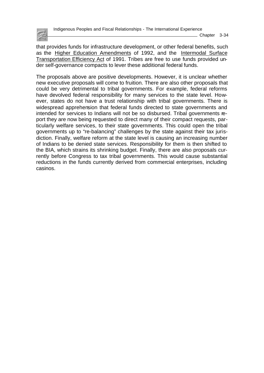

that provides funds for infrastructure development, or other federal benefits, such as the Higher Education Amendments of 1992, and the Intermodal Surface Transportation Efficiency Act of 1991. Tribes are free to use funds provided under self-governance compacts to lever these additional federal funds.

The proposals above are positive developments. However, it is unclear whether new executive proposals will come to fruition. There are also other proposals that could be very detrimental to tribal governments. For example, federal reforms have devolved federal responsibility for many services to the state level. However, states do not have a trust relationship with tribal governments. There is widespread apprehension that federal funds directed to state governments and intended for services to Indians will not be so disbursed. Tribal governments report they are now being requested to direct many of their compact requests, particularly welfare services, to their state governments. This could open the tribal governments up to "re-balancing" challenges by the state against their tax jurisdiction. Finally, welfare reform at the state level is causing an increasing number of Indians to be denied state services. Responsibility for them is then shifted to the BIA, which strains its shrinking budget. Finally, there are also proposals currently before Congress to tax tribal governments. This would cause substantial reductions in the funds currently derived from commercial enterprises, including casinos.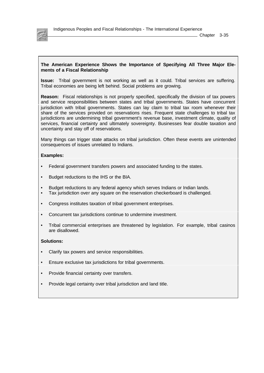

Indigenous Peoples and Fiscal Relationships - The International Experience

 $\_$  Chapter 3-35

#### **The American Experience Shows the Importance of Specifying All Three Major Elements of a Fiscal Relationship**

**Issue:** Tribal government is not working as well as it could. Tribal services are suffering. Tribal economies are being left behind. Social problems are growing.

**Reason:** Fiscal relationships is not properly specified, specifically the division of tax powers and service responsibilities between states and tribal governments. States have concurrent jurisdiction with tribal governments. States can lay claim to tribal tax room whenever their share of the services provided on reservations rises. Frequent state challenges to tribal tax jurisdictions are undermining tribal government's revenue base, investment climate, quality of services, financial certainty and ultimately sovereignty. Businesses fear double taxation and uncertainty and stay off of reservations.

Many things can trigger state attacks on tribal jurisdiction. Often these events are unintended consequences of issues unrelated to Indians.

#### **Examples:**

- Federal government transfers powers and associated funding to the states.
- Budget reductions to the IHS or the BIA.
- Budget reductions to any federal agency which serves Indians or Indian lands.
- Tax jurisdiction over any square on the reservation checkerboard is challenged.
- Congress institutes taxation of tribal government enterprises.
- Concurrent tax jurisdictions continue to undermine investment.
- Tribal commercial enterprises are threatened by legislation. For example, tribal casinos are disallowed.

#### **Solutions:**

- Clarify tax powers and service responsibilities.
- Ensure exclusive tax jurisdictions for tribal governments.
- Provide financial certainty over transfers.
- Provide legal certainty over tribal jurisdiction and land title.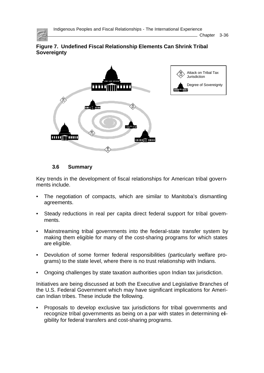

Chapter 3-36





# **3.6 Summary**

Key trends in the development of fiscal relationships for American tribal governments include.

- The negotiation of compacts, which are similar to Manitoba's dismantling agreements.
- Steady reductions in real per capita direct federal support for tribal govemments.
- Mainstreaming tribal governments into the federal-state transfer system by making them eligible for many of the cost-sharing programs for which states are eligible.
- Devolution of some former federal responsibilities (particularly welfare programs) to the state level, where there is no trust relationship with Indians.
- Ongoing challenges by state taxation authorities upon Indian tax jurisdiction.

Initiatives are being discussed at both the Executive and Legislative Branches of the U.S. Federal Government which may have significant implications for American Indian tribes. These include the following.

• Proposals to develop exclusive tax jurisdictions for tribal governments and recognize tribal governments as being on a par with states in determining eligibility for federal transfers and cost-sharing programs.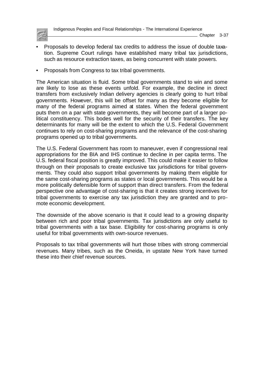

- Proposals to develop federal tax credits to address the issue of double taxation. Supreme Court rulings have established many tribal tax jurisdictions, such as resource extraction taxes, as being concurrent with state powers.
- Proposals from Congress to tax tribal governments.

The American situation is fluid. Some tribal governments stand to win and some are likely to lose as these events unfold. For example, the decline in direct transfers from exclusively Indian delivery agencies is clearly going to hurt tribal governments. However, this will be offset for many as they become eligible for many of the federal programs aimed at states. When the federal government puts them on a par with state governments, they will become part of a larger political constituency. This bodes well for the security of their transfers. The key determinants for many will be the extent to which the U.S. Federal Government continues to rely on cost-sharing programs and the relevance of the cost-sharing programs opened up to tribal governments.

The U.S. Federal Government has room to maneuver, even if congressional real appropriations for the BIA and IHS continue to decline in per capita terms. The U.S. federal fiscal position is greatly improved. This could make it easier to follow through on their proposals to create exclusive tax jurisdictions for tribal governments. They could also support tribal governments by making them eligible for the same cost-sharing programs as states or local governments. This would be a more politically defensible form of support than direct transfers. From the federal perspective one advantage of cost-sharing is that it creates strong incentives for tribal governments to exercise any tax jurisdiction they are granted and to promote economic development.

The downside of the above scenario is that it could lead to a growing disparity between rich and poor tribal governments. Tax jurisdictions are only useful to tribal governments with a tax base. Eligibility for cost-sharing programs is only useful for tribal governments with own-source revenues.

Proposals to tax tribal governments will hurt those tribes with strong commercial revenues. Many tribes, such as the Oneida, in upstate New York have turned these into their chief revenue sources.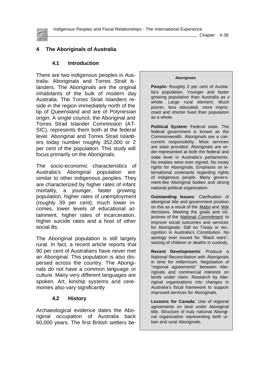

Chapter 4-38

# **4 The Aboriginals of Australia**

#### **4.1 Introduction**

There are two indigenous peoples in Australia: Aboriginals and Torres Strait Islanders. The Aboriginals are the original inhabitants of the bulk of modern day Australia. The Torres Strait Islanders reside in the region immediately north of the tip of Queensland and are of Polynesian origin. A single council, the Aboriginal and Torres Strait Islander Commission (AT-SIC), represents them both at the federal level. Aboriginal and Torres Strait Islanders today number roughly 352,000 or 2 per cent of the population. This study will focus primarily on the Aboriginals.

The socio-economic characteristics of Australia's Aboriginal population are similar to other indigenous peoples. They are characterized by higher rates of infant mortality, a younger, faster growing population, higher rates of unemployment (roughly 39 per cent), much lower incomes, lower levels of educational attainment, higher rates of incarceration, higher suicide rates and a host of other social ills.

The Aboriginal population is still largely rural. In fact, a recent article reports that 90 per cent of Australians have never met an Aboriginal. This population is also dispersed across the country. The Aboriginals do not have a common language or culture. Many very different languages are spoken. Art, kinship systems and ceremonies also vary significantly

### **4.2 History**

Archaeological evidence dates the Aboriginal occupation of Australia back 60,000 years. The first British settlers be-

#### **Aboriginals**

**People:** Roughly 2 per cent of Australia's population. Younger and faster growing population than Australia as a whole. Large rural element. Much poorer, less educated, more imprisoned and shorter lived than population as a whole.

**Political System:** Federal state. The federal government is known as the Commonwealth. Aboriginals are a concurrent responsibility. Most services are state provided. Aboriginals are under-represented at both the federal and state level in Australia's parliaments. No treaties were ever signed. No treaty rights for Aboriginals. Emphasis on international covenants regarding rights of indigenous people. Many government-like Aboriginal bodies and strong national political organization.

**Outstanding Issues:** Clarification of aboriginal title and government position on this as a result of the Mabo and Wik decisions. Meeting the goals and objectives of the National Commitment to improve social outcomes and services for Aboriginals. Still no Treaty or recognition in Australia's Constitution. No apology ever issued for "Black wars", seizing of children or deaths in custody.

**Recent Developments**: Produce a National Reconciliation with Aboriginals in time for millennium. Negotiation of "regional agreements" between Aboriginals and commercial interests on lands under claim. Research by Aboriginal organizations into changes in Australia's fiscal framework to support improved services for Aboriginals.

**Lessons for Canada**: Use of regional agreements on land under Aboriginal title. Structure of truly national Aboriginal organization representing both urban and rural Aboriginals.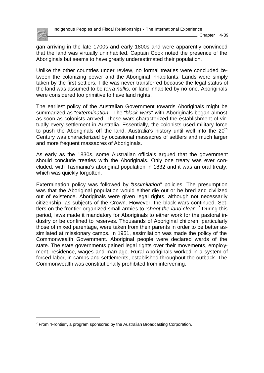

gan arriving in the late 1700s and early 1800s and were apparently convinced that the land was virtually uninhabited. Captain Cook noted the presence of the Aboriginals but seems to have greatly underestimated their population.

Unlike the other countries under review, no formal treaties were concluded between the colonizing power and the Aboriginal inhabitants. Lands were simply taken by the first settlers. Title was never transferred because the legal status of the land was assumed to be *terra nullis,* or land inhabited by no one. Aboriginals were considered too primitive to have land rights.

The earliest policy of the Australian Government towards Aboriginals might be summarized as "*extermination"*. The "*black wars*" with Aboriginals began almost as soon as colonists arrived. These wars characterized the establishment of virtually every settlement in Australia. Essentially, the colonists used military force to push the Aboriginals off the land. Australia's history until well into the  $20<sup>th</sup>$ Century was characterized by occasional massacres of settlers and much larger and more frequent massacres of Aboriginals.

As early as the 1830s, some Australian officials argued that the government should conclude treaties with the Aboriginals. Only one treaty was ever concluded, with Tasmania's aboriginal population in 1832 and it was an oral treaty, which was quickly forgotten.

Extermination policy was followed by "*assimilation*" policies. The presumption was that the Aboriginal population would either die out or be bred and civilized out of existence. Aboriginals were given legal rights, although not necessarily citizenship, as subjects of the Crown. However, the black wars continued. Settlers on the frontier organized small armies to "*shoot the land clear*".<sup>7</sup> During this period, laws made it mandatory for Aboriginals to either work for the pastoral industry or be confined to reserves. Thousands of Aboriginal children, particularly those of mixed parentage, were taken from their parents in order to be better assimilated at missionary camps. In 1951, assimilation was made the policy of the Commonwealth Government. Aboriginal people were declared wards of the state. The state governments gained legal rights over their movements, employment, residence, wages and marriage. Rural Aboriginals worked in a system of forced labor, in camps and settlements, established throughout the outback. The Commonwealth was constitutionally prohibited from intervening.

 $7$  From "Frontier", a program sponsored by the Australian Broadcasting Corporation.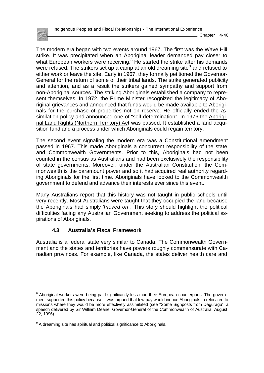Chapter 4-40

The modern era began with two events around 1967. The first was the Wave Hill strike. It was precipitated when an Aboriginal leader demanded pay closer to what European workers were receiving.<sup>8</sup> He started the strike after his demands were refused. The strikers set up a camp at an old dreaming site $^9$  and refused to either work or leave the site. Early in 1967, they formally petitioned the Governor-General for the return of some of their tribal lands. The strike generated publicity and attention, and as a result the strikers gained sympathy and support from non-Aboriginal sources. The striking Aboriginals established a company to represent themselves. In 1972, the Prime Minister recognized the legitimacy of Aboriginal grievances and announced that funds would be made available to Aboriginals for the purchase of properties not on reserve. He officially ended the assimilation policy and announced one of "self-determination". In 1976 the Aboriginal Land Rights (Northern Territory) Act was passed. It established a land acquisition fund and a process under which Aboriginals could regain territory.

The second event signaling the modern era was a Constitutional amendment passed in 1967. This made Aboriginals a concurrent responsibility of the state and Commonwealth Governments. Prior to this, Aboriginals had not been counted in the census as Australians and had been exclusively the responsibility of state governments. Moreover, under the Australian Constitution, the Commonwealth is the paramount power and so it had acquired real authority regarding Aboriginals for the first time. Aboriginals have looked to the Commonwealth government to defend and advance their interests ever since this event.

Many Australians report that this history was not taught in public schools until very recently. Most Australians were taught that they occupied the land because the Aboriginals had simply "*moved on"*. This story should highlight the political difficulties facing any Australian Government seeking to address the political aspirations of Aboriginals.

# **4.3 Australia's Fiscal Framework**

Australia is a federal state very similar to Canada. The Commonwealth Government and the states and territories have powers roughly commensurate with Canadian provinces. For example, like Canada, the states deliver health care and

<sup>&</sup>lt;sup>8</sup> Aboriginal workers were being paid significantly less than their European counterparts. The government supported this policy because it was argued that low pay would induce Aboriginals to relocated to missions where they would be more effectively assimilated (see "Some Signposts from Daguragu", a speech delivered by Sir William Deane, Governor-General of the Commonwealth of Australia, August 22, 1996).

<sup>&</sup>lt;sup>9</sup> A dreaming site has spiritual and political significance to Aboriginals.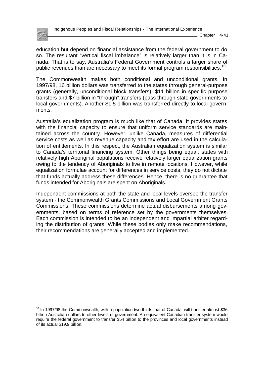

Indigenous Peoples and Fiscal Relationships - The International Experience

education but depend on financial assistance from the federal government to do so. The resultant "vertical fiscal imbalance" is relatively larger than it is in Canada. That is to say, Australia's Federal Government controls a larger share of public revenues than are necessary to meet its formal program responsibilities.<sup>10</sup>

The Commonwealth makes both conditional and unconditional grants. In 1997/98, 16 billion dollars was transferred to the states through general-purpose grants (generally, unconditional block transfers), \$11 billion in specific purpose transfers and \$7 billion in "through" transfers (pass through state governments to local governments). Another \$1.5 billion was transferred directly to local governments.

Australia's equalization program is much like that of Canada. It provides states with the financial capacity to ensure that uniform service standards are maintained across the country. However, unlike Canada, measures of differential service costs as well as revenue capacity and tax effort are used in the calculation of entitlements. In this respect, the Australian equalization system is similar to Canada's territorial financing system. Other things being equal, states with relatively high Aboriginal populations receive relatively larger equalization grants owing to the tendency of Aboriginals to live in remote locations. However, while equalization formulae account for differences in service costs, they do not dictate that funds actually address these differences. Hence, there is no guarantee that funds intended for Aboriginals are spent on Aboriginals.

Independent commissions at both the state and local levels oversee the transfer system - the Commonwealth Grants Commissions and Local Government Grants Commissions. These commissions determine actual disbursements among governments, based on terms of reference set by the governments themselves. Each commission is intended to be an independent and impartial arbiter regarding the distribution of grants. While these bodies only make recommendations, their recommendations are generally accepted and implemented.

 $10$  In 1997/98 the Commonwealth, with a population two thirds that of Canada, will transfer almost \$36 billion Australian dollars to other levels of government. An equivalent Canadian transfer system would require the federal government to transfer \$54 billion to the provinces and local governments instead of its actual \$19.9 billion.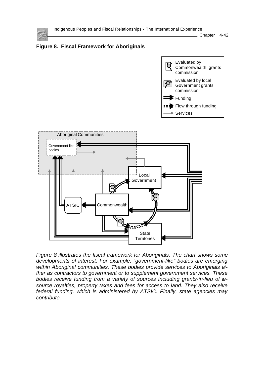

Chapter 4-42



*Figure 8 illustrates the fiscal framework for Aboriginals. The chart shows some developments of interest. For example, "government-like" bodies are emerging within Aboriginal communities. These bodies provide services to Aboriginals either as contractors to government or to supplement government services. These bodies receive funding from a variety of sources including grants-in-lieu of resource royalties, property taxes and fees for access to land. They also receive federal funding, which is administered by ATSIC. Finally, state agencies may contribute.*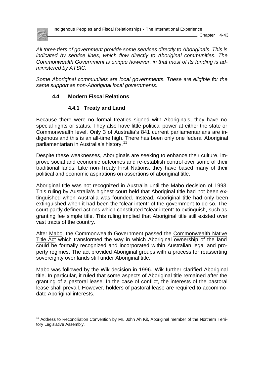

Indigenous Peoples and Fiscal Relationships - The International Experience

Chapter 4-43

*All three tiers of government provide some services directly to Aboriginals. This is indicated by service lines, which flow directly to Aboriginal communities. The Commonwealth Government is unique however, in that most of its funding is administered by ATSIC.*

*Some Aboriginal communities are local governments. These are eligible for the same support as non-Aboriginal local governments.*

# **4.4 Modern Fiscal Relations**

### **4.4.1 Treaty and Land**

Because there were no formal treaties signed with Aboriginals, they have no special rights or status. They also have little political power at either the state or Commonwealth level. Only 3 of Australia's 841 current parliamentarians are indigenous and this is an all-time high. There has been only one federal Aboriginal parliamentarian in Australia's history.<sup>11</sup>

Despite these weaknesses, Aboriginals are seeking to enhance their culture, improve social and economic outcomes and re-establish control over some of their traditional lands. Like non-Treaty First Nations, they have based many of their political and economic aspirations on assertions of aboriginal title.

Aboriginal title was not recognized in Australia until the Mabo decision of 1993. This ruling by Australia's highest court held that Aboriginal title had not been extinguished when Australia was founded. Instead, Aboriginal title had only been extinguished when it had been the "clear intent" of the government to do so. The court partly defined actions which constituted "clear intent" to extinguish, such as granting fee simple title. This ruling implied that Aboriginal title still existed over vast tracts of the country.

After Mabo, the Commonwealth Government passed the Commonwealth Native Title Act which transformed the way in which Aboriginal ownership of the land could be formally recognized and incorporated within Australian legal and property regimes. The act provided Aboriginal groups with a process for reasserting sovereignty over lands still under Aboriginal title.

Mabo was followed by the Wik decision in 1996. Wik further clarified Aboriginal title. In particular, it ruled that some aspects of Aboriginal title remained after the granting of a pastoral lease. In the case of conflict, the interests of the pastoral lease shall prevail. However, holders of pastoral lease are required to accommodate Aboriginal interests.

<sup>&</sup>lt;sup>11</sup> Address to Reconciliation Convention by Mr. John Ah Kit, Aboriginal member of the Northern Territory Legislative Assembly.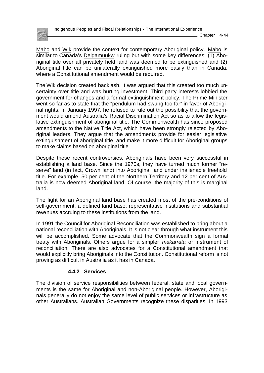

Mabo and Wik provide the context for contemporary Aboriginal policy. Mabo is similar to Canada's Delgamuukw ruling but with some key differences: (1) Aboriginal title over all privately held land was deemed to be extinguished and (2) Aboriginal title can be unilaterally extinguished more easily than in Canada, where a Constitutional amendment would be required.

The Wik decision created backlash. It was argued that this created too much uncertainty over title and was hurting investment. Third party interests lobbied the government for changes and a formal extinguishment policy. The Prime Minister went so far as to state that the "pendulum had swung too far" in favor of Aboriginal rights. In January 1997, he refused to rule out the possibility that the government would amend Australia's Racial Discrimination Act so as to allow the legislative extinguishment of aboriginal title. The Commonwealth has since proposed amendments to the Native Title Act, which have been strongly rejected by Aboriginal leaders. They argue that the amendments provide for easier legislative extinguishment of aboriginal title, and make it more difficult for Aboriginal groups to make claims based on aboriginal title

Despite these recent controversies, Aboriginals have been very successful in establishing a land base. Since the 1970s, they have turned much former "reserve" land (in fact, Crown land) into Aboriginal land under inalienable freehold title. For example, 50 per cent of the Northern Territory and 12 per cent of Australia is now deemed Aboriginal land. Of course, the majority of this is marginal land.

The fight for an Aboriginal land base has created most of the pre-conditions of self-government: a defined land base; representative institutions and substantial revenues accruing to these institutions from the land.

In 1991 the Council for Aboriginal Reconciliation was established to bring about a national reconciliation with Aboriginals. It is not clear through what instrument this will be accomplished. Some advocate that the Commonwealth sign a formal treaty with Aboriginals. Others argue for a simpler *makarrata* or instrument of reconciliation. There are also advocates for a Constitutional amendment that would explicitly bring Aboriginals into the Constitution. Constitutional reform is not proving as difficult in Australia as it has in Canada.

### **4.4.2 Services**

The division of service responsibilities between federal, state and local governments is the same for Aboriginal and non-Aboriginal people. However, Aboriginals generally do not enjoy the same level of public services or infrastructure as other Australians. Australian Governments recognize these disparities. In 1993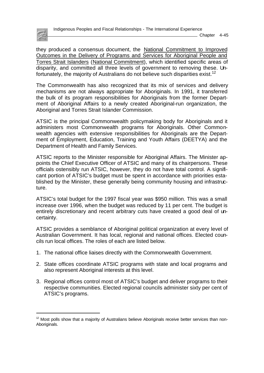

they produced a consensus document, the National Commitment to Improved Outcomes in the Delivery of Programs and Services for Aboriginal People and Torres Strait Islanders (National Commitment), which identified specific areas of disparity, and committed all three levels of government to removing these. Unfortunately, the majority of Australians do not believe such disparities exist.<sup>12</sup>

The Commonwealth has also recognized that its mix of services and delivery mechanisms are not always appropriate for Aboriginals. In 1991, it transferred the bulk of its program responsibilities for Aboriginals from the former Department of Aboriginal Affairs to a newly created Aboriginal-run organization, the Aboriginal and Torres Strait Islander Commission.

ATSIC is the principal Commonwealth policymaking body for Aboriginals and it administers most Commonwealth programs for Aboriginals. Other Commonwealth agencies with extensive responsibilities for Aboriginals are the Department of Employment, Education, Training and Youth Affairs (DEETYA) and the Department of Health and Family Services.

ATSIC reports to the Minister responsible for Aboriginal Affairs. The Minister appoints the Chief Executive Officer of ATSIC and many of its chairpersons. These officials ostensibly run ATSIC, however, they do not have total control. A significant portion of ATSIC's budget must be spent in accordance with priorities established by the Minister, these generally being community housing and infrastructure.

ATSIC's total budget for the 1997 fiscal year was \$950 million. This was a small increase over 1996, when the budget was reduced by 11 per cent. The budget is entirely discretionary and recent arbitrary cuts have created a good deal of uncertainty.

ATSIC provides a semblance of Aboriginal political organization at every level of Australian Government. It has local, regional and national offices. Elected councils run local offices. The roles of each are listed below.

- 1. The national office liaises directly with the Commonwealth Government.
- 2. State offices coordinate ATSIC programs with state and local programs and also represent Aboriginal interests at this level.
- 3. Regional offices control most of ATSIC's budget and deliver programs to their respective communities. Elected regional councils administer sixty per cent of ATSIC's programs.

 $12$  Most polls show that a majority of Australians believe Aboriginals receive better services than non-Aboriginals.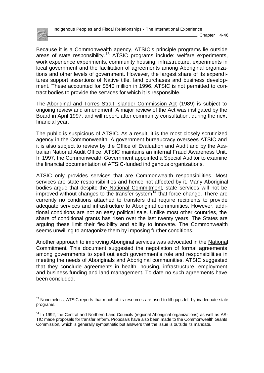

Because it is a Commonwealth agency, ATSIC's principle programs lie outside areas of state responsibility.<sup>13</sup> ATSIC programs include: welfare experiments, work experience experiments, community housing, infrastructure, experiments in local government and the facilitation of agreements among Aboriginal organizations and other levels of government. However, the largest share of its expenditures support assertions of Native title, land purchases and business development. These accounted for \$540 million in 1996. ATSIC is not permitted to contract bodies to provide the services for which it is responsible.

The Aboriginal and Torres Strait Islander Commission Act (1989) is subject to ongoing review and amendment. A major review of the Act was instigated by the Board in April 1997, and will report, after community consultation, during the next financial year.

The public is suspicious of ATSIC. As a result, it is the most closely scrutinized agency in the Commonwealth. A government bureaucracy oversees ATSIC and it is also subject to review by the Office of Evaluation and Audit and by the Australian National Audit Office. ATSIC maintains an internal Fraud Awareness Unit. In 1997, the Commonwealth Government appointed a Special Auditor to examine the financial documentation of ATSIC-funded indigenous organizations.

ATSIC only provides services that are Commonwealth responsibilities. Most services are state responsibilities and hence not affected by it. Many Aboriginal bodies argue that despite the National Commitment, state services will not be improved without changes to the transfer system<sup>14</sup> that force change. There are currently no conditions attached to transfers that require recipients to provide adequate services and infrastructure to Aboriginal communities. However, additional conditions are not an easy political sale. Unlike most other countries, the share of conditional grants has risen over the last twenty years. The States are arguing these limit their flexibility and ability to innovate. The Commonwealth seems unwilling to antagonize them by imposing further conditions.

Another approach to improving Aboriginal services was advocated in the National Commitment. This document suggested the negotiation of formal agreements among governments to spell out each government's role and responsibilities in meeting the needs of Aboriginals and Aboriginal communities. ATSIC suggested that they conclude agreements in health, housing, infrastructure, employment and business funding and land management. To date no such agreements have been concluded.

 $13$  Nonetheless, ATSIC reports that much of its resources are used to fill gaps left by inadequate state programs.

<sup>&</sup>lt;sup>14</sup> In 1992, the Central and Northern Land Councils (regional Aboriginal organizations) as well as AS-TIC made proposals for transfer reform. Proposals have also been made to the Commonwealth Grants Commission, which is generally sympathetic but answers that the issue is outside its mandate.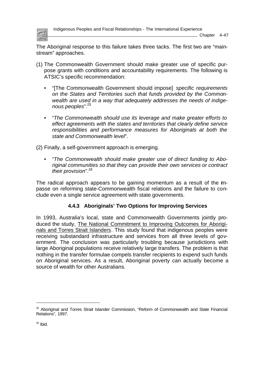

Indigenous Peoples and Fiscal Relationships - The International Experience

Chapter 4-47

The Aboriginal response to this failure takes three tacks. The first two are "mainstream" approaches.

- (1) The Commonwealth Government should make greater use of specific purpose grants with conditions and accountability requirements. The following is ATSIC's specific recommendation:
	- "[The Commonwealth Government should impose] *specific requirements on the States and Territories such that funds provided by the Commonwealth are used in a way that adequately addresses the needs of indigenous peoples*".*<sup>15</sup>*
	- "*The Commonwealth should use its leverage and make greater efforts to effect agreements with the states and territories that clearly define service responsibilities and performance measures for Aboriginals at both the state and Commonwealth level*".
- (2) Finally, a self-government approach is emerging.
	- "*The Commonwealth should make greater use of direct funding to Aboriginal communities so that they can provide their own services or contract their provision*".*<sup>16</sup>*

The radical approach appears to be gaining momentum as a result of the impasse on reforming state-Commonwealth fiscal relations and the failure to conclude even a single service agreement with state governments.

# **4.4.3 Aboriginals' Two Options for Improving Services**

In 1993, Australia's local, state and Commonwealth Governments jointly produced the study, The National Commitment to Improving Outcomes for Aboriginals and Torres Strait Islanders. This study found that indigenous peoples were receiving substandard infrastructure and services from all three levels of government. The conclusion was particularly troubling because jurisdictions with large Aboriginal populations receive relatively large transfers. The problem is that nothing in the transfer formulae compels transfer recipients to expend such funds on Aboriginal services. As a result, Aboriginal poverty can actually become a source of wealth for other Australians.

l

<sup>&</sup>lt;sup>15</sup> Aboriginal and Torres Strait Islander Commission, "Reform of Commonwealth and State Financial Relations", 1997.

 $16$  Ibid.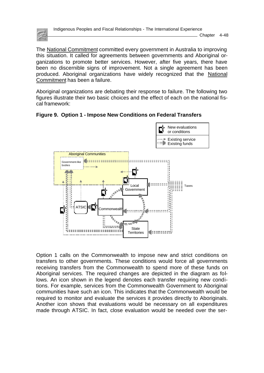

Indigenous Peoples and Fiscal Relationships - The International Experience

Chapter 4-48

The National Commitment committed every government in Australia to improving this situation. It called for agreements between governments and Aboriginal organizations to promote better services. However, after five years, there have been no discernible signs of improvement. Not a single agreement has been produced. Aboriginal organizations have widely recognized that the National Commitment has been a failure.

Aboriginal organizations are debating their response to failure. The following two figures illustrate their two basic choices and the effect of each on the national fiscal framework:





Option 1 calls on the Commonwealth to impose new and strict conditions on transfers to other governments. These conditions would force all governments receiving transfers from the Commonwealth to spend more of these funds on Aboriginal services. The required changes are depicted in the diagram as follows. An icon shown in the legend denotes each transfer requiring new conditions. For example, services from the Commonwealth Government to Aboriginal communities have such an icon. This indicates that the Commonwealth would be required to monitor and evaluate the services it provides directly to Aboriginals. Another icon shows that evaluations would be necessary on all expenditures made through ATSIC. In fact, close evaluation would be needed over the ser-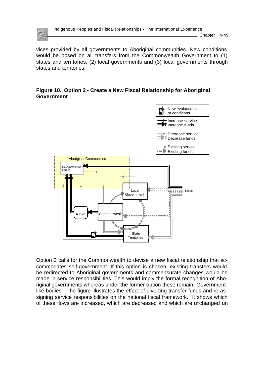

Chapter 4-49

vices provided by all governments to Aboriginal communities. New conditions would be posed on all transfers from the Commonwealth Government to (1) states and territories, (2) local governments and (3) local governments through states and territories.

### **Figure 10. Option 2 - Create a New Fiscal Relationship for Aboriginal Government**



Option 2 calls for the Commonwealth to devise a new fiscal relationship that accommodates self-government. If this option is chosen, existing transfers would be redirected to Aboriginal governments and commensurate changes would be made in service responsibilities. This would imply the formal recognition of Aboriginal governments whereas under the former option these remain "Governmentlike bodies". The figure illustrates the effect of diverting transfer funds and re-assigning service responsibilities on the national fiscal framework. It shows which of these flows are increased, which are decreased and which are unchanged un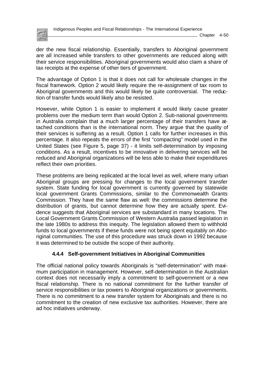

Chapter 4-50

der the new fiscal relationship. Essentially, transfers to Aboriginal government are all increased while transfers to other governments are reduced along with their service responsibilities. Aboriginal governments would also claim a share of tax receipts at the expense of other tiers of government.

The advantage of Option 1 is that it does not call for wholesale changes in the fiscal framework. Option 2 would likely require the re-assignment of tax room to Aboriginal governments and this would likely be quite controversial. The reduction of transfer funds would likely also be resisted.

However, while Option 1 is easier to implement it would likely cause greater problems over the medium term than would Option 2. Sub-national governments in Australia complain that a much larger percentage of their transfers have attached conditions than is the international norm. They argue that the quality of their services is suffering as a result. Option 1 calls for further increases in this percentage. It also repeats the errors of the first "compacting" model used in the United States (see Figure 5, page 37) - it limits self-determination by imposing conditions. As a result, incentives to be innovative in delivering services will be reduced and Aboriginal organizations will be less able to make their expenditures reflect their own priorities.

These problems are being replicated at the local level as well, where many urban Aboriginal groups are pressing for changes to the local government transfer system. State funding for local government is currently governed by statewide local government Grants Commissions, similar to the Commonwealth Grants Commission. They have the same flaw as well: the commissions determine the distribution of grants, but cannot determine how they are actually spent. Evidence suggests that Aboriginal services are substandard in many locations. The Local Government Grants Commission of Western Australia passed legislation in the late 1980s to address this inequity. The legislation allowed them to withhold funds to local governments if these funds were not being spent equitably on Aboriginal communities. The use of this procedure was struck down in 1992 because it was determined to be outside the scope of their authority.

# **4.4.4 Self-government Initiatives in Aboriginal Communities**

The official national policy towards Aboriginals is "self-determination" with maximum participation in management. However, self-determination in the Australian context does not necessarily imply a commitment to self-government or a new fiscal relationship. There is no national commitment for the further transfer of service responsibilities or tax powers to Aboriginal organizations or governments. There is no commitment to a new transfer system for Aboriginals and there is no commitment to the creation of new exclusive tax authorities. However, there are ad hoc initiatives underway.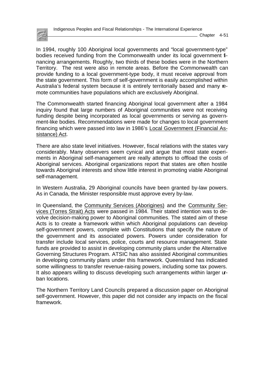

In 1994, roughly 100 Aboriginal local governments and "local government-type" bodies received funding from the Commonwealth under its local government financing arrangements. Roughly, two thirds of these bodies were in the Northern Territory. The rest were also in remote areas. Before the Commonwealth can provide funding to a local government-type body, it must receive approval from the state government. This form of self-government is easily accomplished within Australia's federal system because it is entirely territorially based and many remote communities have populations which are exclusively Aboriginal.

The Commonwealth started financing Aboriginal local government after a 1984 inquiry found that large numbers of Aboriginal communities were not receiving funding despite being incorporated as local governments or serving as government-like bodies. Recommendations were made for changes to local government financing which were passed into law in 1986's Local Government (Financial Assistance) Act.

There are also state level initiatives. However, fiscal relations with the states vary considerably. Many observers seem cynical and argue that most state experiments in Aboriginal self-management are really attempts to offload the costs of Aboriginal services. Aboriginal organizations report that states are often hostile towards Aboriginal interests and show little interest in promoting viable Aboriginal self-management.

In Western Australia, 29 Aboriginal councils have been granted by-law powers. As in Canada, the Minister responsible must approve every by-law.

In Queensland, the Community Services (Aborigines) and the Community Services (Torres Strait) Acts were passed in 1984. Their stated intention was to devolve decision-making power to Aboriginal communities. The stated aim of these Acts is to create a framework within which Aboriginal populations can develop self-government powers, complete with Constitutions that specify the nature of the government and its associated powers. Powers under consideration for transfer include local services, police, courts and resource management. State funds are provided to assist in developing community plans under the Alternative Governing Structures Program. ATSIC has also assisted Aboriginal communities in developing community plans under this framework. Queensland has indicated some willingness to transfer revenue-raising powers, including some tax powers. It also appears willing to discuss developing such arrangements within larger urban locations.

The Northern Territory Land Councils prepared a discussion paper on Aboriginal self-government. However, this paper did not consider any impacts on the fiscal framework.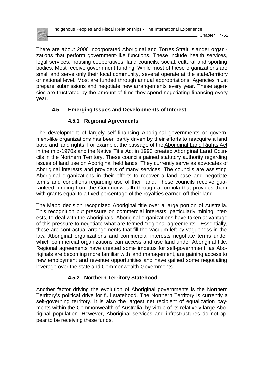There are about 2000 incorporated Aboriginal and Torres Strait Islander organizations that perform government-like functions. These include health services, legal services, housing cooperatives, land councils, social, cultural and sporting bodies. Most receive government funding. While most of these organizations are small and serve only their local community, several operate at the state/territory or national level. Most are funded through annual appropriations. Agencies must prepare submissions and negotiate new arrangements every year. These agencies are frustrated by the amount of time they spend negotiating financing every year.

# **4.5 Emerging Issues and Developments of Interest**

# **4.5.1 Regional Agreements**

The development of largely self-financing Aboriginal governments or government-like organizations has been partly driven by their efforts to reacquire a land base and land rights. For example, the passage of the Aboriginal Land Rights Act in the mid-1970s and the Native Title Act in 1993 created Aboriginal Land Councils in the Northern Territory. These councils gained statutory authority regarding issues of land use on Aboriginal held lands. They currently serve as advocates of Aboriginal interests and providers of many services. The councils are assisting Aboriginal organizations in their efforts to recover a land base and negotiate terms and conditions regarding use of their land. These councils receive guaranteed funding from the Commonwealth through a formula that provides them with grants equal to a fixed percentage of the royalties earned off their land.

The Mabo decision recognized Aboriginal title over a large portion of Australia. This recognition put pressure on commercial interests, particularly mining interests, to deal with the Aboriginals. Aboriginal organizations have taken advantage of this pressure to negotiate what are termed "regional agreements". Essentially, these are contractual arrangements that fill the vacuum left by vagueness in the law. Aboriginal organizations and commercial interests negotiate terms under which commercial organizations can access and use land under Aboriginal title. Regional agreements have created some impetus for self-government, as Aboriginals are becoming more familiar with land management, are gaining access to new employment and revenue opportunities and have gained some negotiating leverage over the state and Commonwealth Governments.

# **4.5.2 Northern Territory Statehood**

Another factor driving the evolution of Aboriginal governments is the Northern Territory's political drive for full statehood. The Northern Territory is currently a self-governing territory. It is also the largest net recipient of equalization payments within the Commonwealth of Australia, by virtue of its relatively large Aboriginal population. However, Aboriginal services and infrastructures do not appear to be receiving these funds.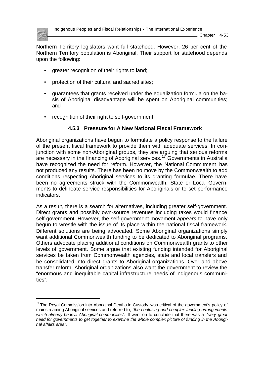

Chapter 4-53

Northern Territory legislators want full statehood. However, 26 per cent of the Northern Territory population is Aboriginal. Their support for statehood depends upon the following:

- greater recognition of their rights to land;
- protection of their cultural and sacred sites;
- guarantees that grants received under the equalization formula on the basis of Aboriginal disadvantage will be spent on Aboriginal communities; and
- recognition of their right to self-government.

# **4.5.3 Pressure for A New National Fiscal Framework**

Aboriginal organizations have begun to formulate a policy response to the failure of the present fiscal framework to provide them with adequate services. In conjunction with some non-Aboriginal groups, they are arguing that serious reforms are necessary in the financing of Aboriginal services.<sup>17</sup> Governments in Australia have recognized the need for reform. However, the National Commitment has not produced any results. There has been no move by the Commonwealth to add conditions respecting Aboriginal services to its granting formulae. There have been no agreements struck with the Commonwealth, State or Local Governments to delineate service responsibilities for Aboriginals or to set performance indicators.

As a result, there is a search for alternatives, including greater self-government. Direct grants and possibly own-source revenues including taxes would finance self-government. However, the self-government movement *appears* to have only begun to wrestle with the issue of its place within the national fiscal framework. Different solutions are being advocated. Some Aboriginal organizations simply want additional Commonwealth funding to be dedicated to Aboriginal programs. Others advocate placing additional conditions on Commonwealth grants to other levels of government. Some argue that existing funding intended for Aboriginal services be taken from Commonwealth agencies, state and local transfers and be consolidated into direct grants to Aboriginal organizations. Over and above transfer reform, Aboriginal organizations also want the government to review the "enormous and inequitable capital infrastructure needs of indigenous communities".

<sup>&</sup>lt;sup>17</sup> The Royal Commission into Aboriginal Deaths in Custody was critical of the government's policy of mainstreaming Aboriginal services and referred to, *"the confusing and complex funding arrangements which already bedevil Aboriginal communities".* It went on to conclude that there was a *"very great need for governments to get together to examine the whole complex picture of funding in the Aboriginal affairs area".*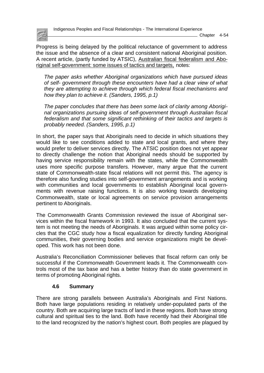

Indigenous Peoples and Fiscal Relationships - The International Experience

Progress is being delayed by the political reluctance of government to address the issue and the absence of a clear and consistent national Aboriginal position. A recent article, (partly funded by ATSIC), Australian fiscal federalism and Aboriginal self-government: some issues of tactics and targets, notes:

*The paper asks whether Aboriginal organizations which have pursued ideas of self- government through these encounters have had a clear view of what they are attempting to achieve through which federal fiscal mechanisms and how they plan to achieve it. (Sanders, 1995, p.1)*

*The paper concludes that there has been some lack of clarity among Aboriginal organizations pursuing ideas of self-government through Australian fiscal federalism and that some significant rethinking of their tactics and targets is probably needed. (Sanders, 1995, p.1)*

In short, the paper says that Aboriginals need to decide in which situations they would like to see conditions added to state and local grants, and where they would prefer to deliver services directly. The ATSIC position does not yet appear to directly challenge the notion that Aboriginal needs should be supported by having service responsibility remain with the states, while the Commonwealth uses more specific purpose transfers. However, many argue that the current state of Commonwealth-state fiscal relations will not permit this. The agency is therefore also funding studies into self-government arrangements and is working with communities and local governments to establish Aboriginal local governments with revenue raising functions. It is also working towards developing Commonwealth, state or local agreements on service provision arrangements pertinent to Aboriginals.

The Commonwealth Grants Commission reviewed the issue of Aboriginal services within the fiscal framework in 1993. It also concluded that the current system is not meeting the needs of Aboriginals. It was argued within some policy circles that the CGC study how a fiscal equalization for directly funding Aboriginal communities, their governing bodies and service organizations might be developed. This work has not been done.

Australia's Reconciliation Commissioner believes that fiscal reform can only be successful if the Commonwealth Government leads it. The Commonwealth controls most of the tax base and has a better history than do state government in terms of promoting Aboriginal rights.

### **4.6 Summary**

There are strong parallels between Australia's Aboriginals and First Nations. Both have large populations residing in relatively under-populated parts of the country. Both are acquiring large tracts of land in these regions. Both have strong cultural and spiritual ties to the land. Both have recently had their Aboriginal title to the land recognized by the nation's highest court. Both peoples are plagued by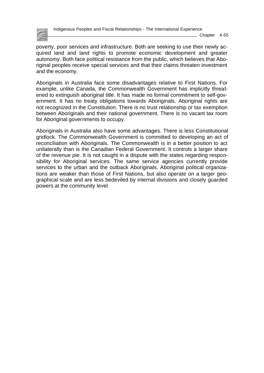

 $\_$  Chapter 4-55

poverty, poor services and infrastructure. Both are seeking to use their newly acquired land and land rights to promote economic development and greater autonomy. Both face political resistance from the public, which believes that Aboriginal peoples receive special services and that their claims threaten investment and the economy.

Aboriginals in Australia face some disadvantages relative to First Nations. For example, unlike Canada, the Commonwealth Government has implicitly threatened to extinguish aboriginal title. It has made no formal commitment to self-government. It has no treaty obligations towards Aboriginals. Aboriginal rights are not recognized in the Constitution. There is no trust relationship or tax exemption between Aboriginals and their national government. There is no vacant tax room for Aboriginal governments to occupy.

Aboriginals in Australia also have some advantages. There is less Constitutional gridlock. The Commonwealth Government is committed to developing an act of reconciliation with Aboriginals. The Commonwealth is in a better position to act unilaterally than is the Canadian Federal Government. It controls a larger share of the revenue pie. It is not caught in a dispute with the states regarding responsibility for Aboriginal services. The same service agencies currently provide services to the urban and the outback Aboriginals. Aboriginal political organizations are weaker than those of First Nations, but also operate on a larger geographical scale and are less bedeviled by internal divisions and closely guarded powers at the community level.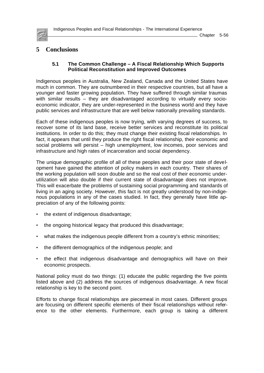

# **5 Conclusions**

#### **5.1 The Common Challenge – A Fiscal Relationship Which Supports Political Reconstitution and Improved Outcomes**

Indigenous peoples in Australia, New Zealand, Canada and the United States have much in common. They are outnumbered in their respective countries, but all have a younger and faster growing population. They have suffered through similar traumas with similar results – they are disadvantaged according to virtually every socioeconomic indicator, they are under-represented in the business world and they have public services and infrastructure that are well below nationally prevailing standards.

Each of these indigenous peoples is now trying, with varying degrees of success, to recover some of its land base, receive better services and reconstitute its political institutions. In order to do this; they must change their existing fiscal relationships. In fact, it appears that until they produce the right fiscal relationship, their economic and social problems will persist – high unemployment, low incomes, poor services and infrastructure and high rates of incarceration and social dependency.

The unique demographic profile of all of these peoples and their poor state of development have gained the attention of policy makers in each country. Their shares of the working population will soon double and so the real cost of their economic underutilization will also double if their current state of disadvantage does not improve. This will exacerbate the problems of sustaining social programming and standards of living in an aging society. However, this fact is not greatly understood by non-indigenous populations in any of the cases studied. In fact, they generally have little appreciation of any of the following points:

- the extent of indigenous disadvantage;
- the ongoing historical legacy that produced this disadvantage;
- what makes the indigenous people different from a country's ethnic minorities;
- the different demographics of the indigenous people; and
- the effect that indigenous disadvantage and demographics will have on their economic prospects.

National policy must do two things: (1) educate the public regarding the five points listed above and (2) address the sources of indigenous disadvantage. A new fiscal relationship is key to the second point.

Efforts to change fiscal relationships are piecemeal in most cases. Different groups are focusing on different specific elements of their fiscal relationships without reference to the other elements. Furthermore, each group is taking a different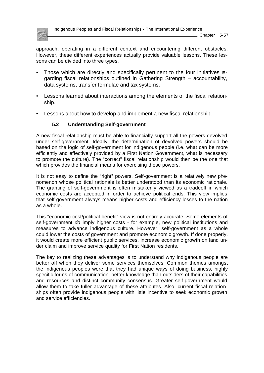

approach, operating in a different context and encountering different obstacles. However, these different experiences actually provide valuable lessons. These lessons can be divided into three types.

- Those which are directly and specifically pertinent to the four initiatives regarding fiscal relationships outlined in Gathering Strength – accountability, data systems, transfer formulae and tax systems.
- Lessons learned about interactions among the elements of the fiscal relationship.
- Lessons about how to develop and implement a new fiscal relationship.

### **5.2 Understanding Self-government**

A new fiscal relationship must be able to financially support all the powers devolved under self-government. Ideally, the determination of devolved powers should be based on the logic of self-government for indigenous people (i.e. what can be more efficiently and effectively provided by a First Nation Government, what is necessary to promote the culture). The "correct" fiscal relationship would then be the one that which provides the financial means for exercising these powers.

It is not easy to define the "right" powers. Self-government is a relatively new phenomenon whose political rationale is better understood than its economic rationale. The granting of self-government is often mistakenly viewed as a tradeoff in which economic costs are accepted in order to achieve political ends. This view implies that self-government always means higher costs and efficiency losses to the nation as a whole.

This "economic cost/political benefit" view is not entirely accurate. Some elements of self-government *do* imply higher costs - for example, new political institutions and measures to advance indigenous culture. However, self-government as a whole could lower the costs of government and promote economic growth. If done properly, it would create more efficient public services, increase economic growth on land under claim and improve service quality for First Nation residents.

The key to realizing these advantages is to understand why indigenous people are better off when they deliver some services themselves. Common themes amongst the indigenous peoples were that they had unique ways of doing business, highly specific forms of communication, better knowledge than outsiders of their capabilities and resources and distinct community consensus. Greater self-government would allow them to take fuller advantage of these attributes. Also, current fiscal relationships often provide indigenous people with little incentive to seek economic growth and service efficiencies.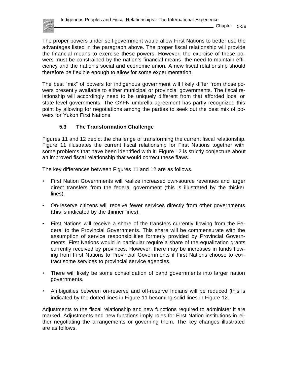

The proper powers under self-government would allow First Nations to better use the advantages listed in the paragraph above. The proper fiscal relationship will provide the financial means to exercise these powers. However, the exercise of these powers must be constrained by the nation's financial means, the need to maintain efficiency and the nation's social and economic union. A new fiscal relationship should therefore be flexible enough to allow for some experimentation.

The best "mix" of powers for indigenous government will likely differ from those powers presently available to either municipal or provincial governments. The fiscal relationship will accordingly need to be uniquely different from that afforded local or state level governments. The CYFN umbrella agreement has partly recognized this point by allowing for negotiations among the parties to seek out the best mix of powers for Yukon First Nations.

### **5.3 The Transformation Challenge**

Figures 11 and 12 depict the challenge of transforming the current fiscal relationship. Figure 11 illustrates the current fiscal relationship for First Nations together with some problems that have been identified with it. Figure 12 is strictly conjecture about an improved fiscal relationship that would correct these flaws.

The key differences between Figures 11 and 12 are as follows.

- First Nation Governments will realize increased own-source revenues and larger direct transfers from the federal government (this is illustrated by the thicker lines).
- On-reserve citizens will receive fewer services directly from other governments (this is indicated by the thinner lines).
- First Nations will receive a share of the transfers currently flowing from the Federal to the Provincial Governments. This share will be commensurate with the assumption of service responsibilities formerly provided by Provincial Governments. First Nations would in particular require a share of the equalization grants currently received by provinces. However, there may be increases in funds flowing from First Nations to Provincial Governments if First Nations choose to contract some services to provincial service agencies.
- There will likely be some consolidation of band governments into larger nation governments.
- Ambiguities between on-reserve and off-reserve Indians will be reduced (this is indicated by the dotted lines in Figure 11 becoming solid lines in Figure 12.

Adjustments to the fiscal relationship and new functions required to administer it are marked. Adjustments and new functions imply roles for First Nation institutions in either negotiating the arrangements or governing them. The key changes illustrated are as follows.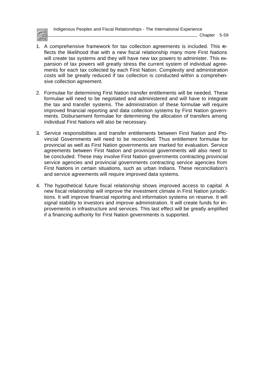Indigenous Peoples and Fiscal Relationships - The International Experience

Chapter 5-59

- 1. A comprehensive framework for tax collection agreements is included. This reflects the likelihood that with a new fiscal relationship many more First Nations will create tax systems and they will have new tax powers to administer. This expansion of tax powers will greatly stress the current system of individual agreements for each tax collected by each First Nation. Complexity and administration costs will be greatly reduced if tax collection is conducted within a comprehensive collection agreement.
- 2. Formulae for determining First Nation transfer entitlements will be needed. These formulae will need to be negotiated and administered and will have to integrate the tax and transfer systems. The administration of these formulae will require improved financial reporting and data collection systems by First Nation governments. Disbursement formulae for determining the allocation of transfers among individual First Nations will also be necessary.
- 3. Service responsibilities and transfer entitlements between First Nation and Provincial Governments will need to be reconciled. Thus entitlement formulae for provincial as well as First Nation governments are marked for evaluation. Service agreements between First Nation and provincial governments will also need to be concluded. These may involve First Nation governments contracting provincial service agencies and provincial governments contracting service agencies from First Nations in certain situations, such as urban Indians. These reconciliation's and service agreements will require improved data systems.
- 4. The hypothetical future fiscal relationship shows improved access to capital. A new fiscal relationship will improve the investment climate in First Nation jurisdictions. It will improve financial reporting and information systems on reserve. It will signal stability to investors and improve administration. It will create funds for improvements in infrastructure and services. This last effect will be greatly amplified if a financing authority for First Nation governments is supported.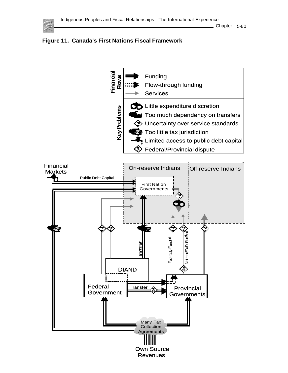



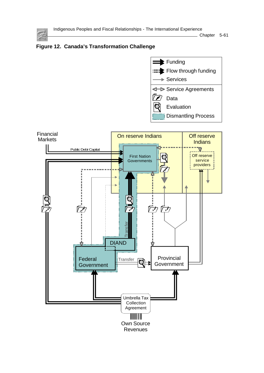

Chapter 5-61





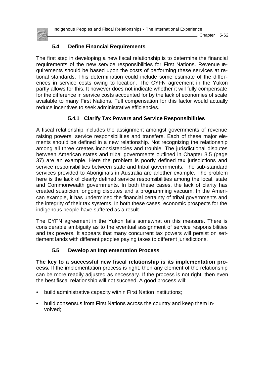Chapter 5-62

# **5.4 Define Financial Requirements**

The first step in developing a new fiscal relationship is to determine the financial requirements of the new service responsibilities for First Nations. Revenue requirements should be based upon the costs of performing these services at national standards. This determination could include some estimate of the differences in service costs owing to location. The CYFN agreement in the Yukon partly allows for this. It however does not indicate whether it will fully compensate for the difference in service costs accounted for by the lack of economies of scale available to many First Nations. Full compensation for this factor would actually reduce incentives to seek administrative efficiencies.

# **5.4.1 Clarify Tax Powers and Service Responsibilities**

A fiscal relationship includes the assignment amongst governments of revenue raising powers, service responsibilities and transfers. Each of these major elements should be defined in a new relationship. Not recognizing the relationship among all three creates inconsistencies and trouble. The jurisdictional disputes between American states and tribal governments outlined in Chapter 3.5 (page 37) are an example. Here the problem is poorly defined tax jurisdictions and service responsibilities between state and tribal governments. The sub-standard services provided to Aboriginals in Australia are another example. The problem here is the lack of clearly defined service responsibilities among the local, state and Commonwealth governments. In both these cases, the lack of clarity has created suspicion, ongoing disputes and a programming vacuum. In the American example, it has undermined the financial certainty of tribal governments and the integrity of their tax systems. In both these cases, economic prospects for the indigenous people have suffered as a result.

The CYFN agreement in the Yukon fails somewhat on this measure. There is considerable ambiguity as to the eventual assignment of service responsibilities and tax powers. It appears that many concurrent tax powers will persist on settlement lands with different peoples paying taxes to different jurisdictions.

# **5.5 Develop an Implementation Process**

**The key to a successful new fiscal relationship is its implementation process.** If the implementation process is right, then any element of the relationship can be more readily adjusted as necessary. If the process is not right, then even the best fiscal relationship will not succeed. A good process will:

- build administrative capacity within First Nation institutions;
- build consensus from First Nations across the country and keep them involved;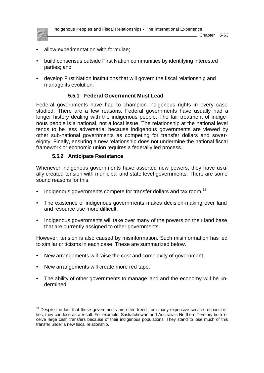

l

- allow experimentation with formulae;
- build consensus outside First Nation communities by identifying interested parties; and
- develop First Nation institutions that will govern the fiscal relationship and manage its evolution.

## **5.5.1 Federal Government Must Lead**

Federal governments have had to champion indigenous rights in every case studied. There are a few reasons. Federal governments have usually had a longer history dealing with the indigenous people. The fair treatment of indigenous people is a national, not a local issue. The relationship at the national level tends to be less adversarial because indigenous governments are viewed by other sub-national governments as competing for transfer dollars and sovereignty. Finally, ensuring a new relationship does not undermine the national fiscal framework or economic union requires a federally led process.

## **5.5.2 Anticipate Resistance**

Whenever indigenous governments have asserted new powers, they have usually created tension with municipal and state level governments. There are some sound reasons for this.

- Indigenous governments compete for transfer dollars and tax room.<sup>18</sup>
- The existence of indigenous governments makes decision-making over land and resource use more difficult.
- Indigenous governments will take over many of the powers on their land base that are currently assigned to other governments.

However, tension is also caused by misinformation. Such misinformation has led to similar criticisms in each case. These are summarized below.

- New arrangements will raise the cost and complexity of government.
- New arrangements will create more red tape.
- The ability of other governments to manage land and the economy will be undermined.

 $18$  Despite the fact that these governments are often freed from many expensive service responsibilities, they can lose as a result. For example, Saskatchewan and Australia's Northern Territory both receive large cash transfers because of their indigenous populations. They stand to lose much of this transfer under a new fiscal relationship.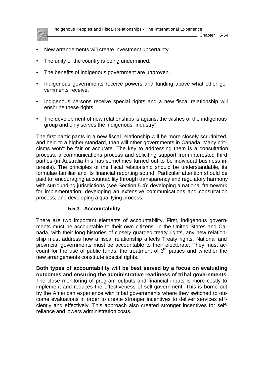

 $\_$  Chapter 5-64

- New arrangements will create investment uncertainty.
- The unity of the country is being undermined.
- The benefits of indigenous government are unproven.
- Indigenous governments receive powers and funding above what other governments receive.
- Indigenous persons receive special rights and a new fiscal relationship will enshrine these rights.
- The development of new relationships is against the wishes of the indigenous group and only serves the indigenous "industry".

The first participants in a new fiscal relationship will be more closely scrutinized, and held to a higher standard, than will other governments in Canada. Many criticisms won't be fair or accurate. The key to addressing them is a consultation process, a communications process and soliciting support from interested third parties (in Australia this has sometimes turned out to be individual business interests). The principles of the fiscal relationship should be understandable, its formulae familiar and its financial reporting sound. Particular attention should be paid to: encouraging accountability through transparency and regulatory harmony with surrounding jurisdictions (see Section 5.4); developing a national framework for implementation; developing an extensive communications and consultation process; and developing a qualifying process.

## **5.5.3 Accountability**

There are two important elements of accountability. First, indigenous governments must be accountable to their own citizens. In the United States and Canada, with their long histories of closely guarded treaty rights, any new relationship must address how a fiscal relationship affects Treaty rights. National and provincial governments must be accountable to their electorate. They must account for the use of public funds, the treatment of  $3<sup>rd</sup>$  parties and whether the new arrangements constitute special rights.

**Both types of accountability will be best served by a focus on evaluating outcomes and ensuring the administrative readiness of tribal governments.** The close monitoring of program outputs and financial inputs is more costly to implement and reduces the effectiveness of self-government. This is borne out by the American experience with tribal governments where they switched to outcome evaluations in order to create stronger incentives to deliver services efficiently and effectively. This approach also created stronger incentives for selfreliance and lowers administration costs.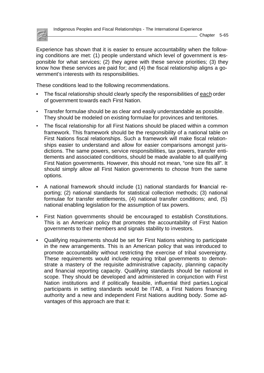

Experience has shown that it is easier to ensure accountability when the following conditions are met: (1) people understand which level of government is responsible for what services; (2) they agree with these service priorities; (3) they know how these services are paid for; and (4) the fiscal relationship aligns a government's interests with its responsibilities.

These conditions lead to the following recommendations.

- The fiscal relationship should clearly specify the responsibilities of each order of government towards each First Nation.
- Transfer formulae should be as clear and easily understandable as possible. They should be modeled on existing formulae for provinces and territories.
- The fiscal relationship for all First Nations should be placed within a common framework. This framework should be the responsibility of a national table on First Nations fiscal relationships. Such a framework will make fiscal relationships easier to understand and allow for easier comparisons amongst jurisdictions. The same powers, service responsibilities, tax powers, transfer entitlements and associated conditions, should be made available to all qualifying First Nation governments. However, this should not mean, "one size fits all". It should simply allow all First Nation governments to choose from the same options.
- A national framework should include (1) national standards for financial reporting; (2) national standards for statistical collection methods; (3) national formulae for transfer entitlements, (4) national transfer conditions; and, (5) national enabling legislation for the assumption of tax powers.
- First Nation governments should be encouraged to establish Constitutions. This is an American policy that promotes the accountability of First Nation governments to their members and signals stability to investors.
- Qualifying requirements should be set for First Nations wishing to participate in the new arrangements. This is an American policy that was introduced to promote accountability without restricting the exercise of tribal sovereignty. These requirements would include requiring tribal governments to demonstrate a mastery of the requisite administrative capacity, planning capacity and financial reporting capacity. Qualifying standards should be national in scope. They should be developed and administered in conjunction with First Nation institutions and if politically feasible, influential third parties.Logical participants in setting standards would be ITAB, a First Nations financing authority and a new and independent First Nations auditing body. Some advantages of this approach are that it: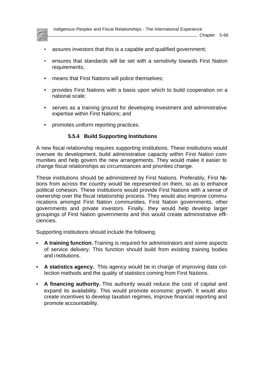

Indigenous Peoples and Fiscal Relationships - The International Experience

- assures investors that this is a capable and qualified government;
- ensures that standards will be set with a sensitivity towards First Nation requirements;
- means that First Nations will police themselves;
- provides First Nations with a basis upon which to build cooperation on a national scale;
- serves as a training ground for developing investment and administrative expertise within First Nations; and
- promotes uniform reporting practices.

#### **5.5.4 Build Supporting Institutions**

A new fiscal relationship requires supporting institutions. These institutions would oversee its development, build administrative capacity within First Nation communities and help govern the new arrangements. They would make it easier to change fiscal relationships as circumstances and priorities change.

These institutions should be administered by First Nations. Preferably, First Nations from across the country would be represented on them, so as to enhance political cohesion. These institutions would provide First Nations with a sense of ownership over the fiscal relationship process. They would also improve communications amongst First Nation communities, First Nation governments, other governments and private investors. Finally, they would help develop larger groupings of First Nation governments and this would create administrative efficiencies.

Supporting institutions should include the following.

- **A training function.** Training is required for administrators and some aspects of service delivery. This function should build from existing training bodies and institutions.
- **A statistics agency.** This agency would be in charge of improving data collection methods and the quality of statistics coming from First Nations.
- **A financing authority.** This authority would reduce the cost of capital and expand its availability. This would promote economic growth. It would also create incentives to develop taxation regimes, improve financial reporting and promote accountability.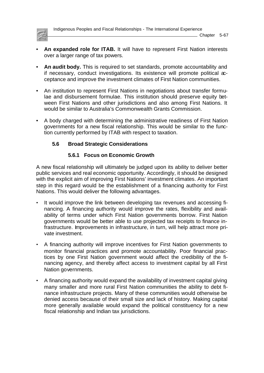

Indigenous Peoples and Fiscal Relationships - The International Experience

- **An expanded role for ITAB.** It will have to represent First Nation interests over a larger range of tax powers.
- **An audit body.** This is required to set standards, promote accountability and if necessary, conduct investigations. Its existence will promote political acceptance and improve the investment climates of First Nation communities.
- An institution to represent First Nations in negotiations about transfer formulae and disbursement formulae. This institution should preserve equity between First Nations and other jurisdictions and also among First Nations. It would be similar to Australia's Commonwealth Grants Commission.
- A body charged with determining the administrative readiness of First Nation governments for a new fiscal relationship. This would be similar to the function currently performed by ITAB with respect to taxation.

# **5.6 Broad Strategic Considerations**

## **5.6.1 Focus on Economic Growth**

A new fiscal relationship will ultimately be judged upon its ability to deliver better public services and real economic opportunity. Accordingly, it should be designed with the explicit aim of improving First Nations' investment climates. An important step in this regard would be the establishment of a financing authority for First Nations. This would deliver the following advantages.

- It would improve the link between developing tax revenues and accessing financing. A financing authority would improve the rates, flexibility and availability of terms under which First Nation governments borrow. First Nation governments would be better able to use projected tax receipts to finance infrastructure. Improvements in infrastructure, in turn, will help attract more private investment.
- A financing authority will improve incentives for First Nation governments to monitor financial practices and promote accountability. Poor financial practices by one First Nation government would affect the credibility of the financing agency, and thereby affect access to investment capital by all First Nation governments.
- A financing authority would expand the availability of investment capital giving many smaller and more rural First Nation communities the ability to debt finance infrastructure projects. Many of these communities would otherwise be denied access because of their small size and lack of history. Making capital more generally available would expand the political constituency for a new fiscal relationship and Indian tax jurisdictions.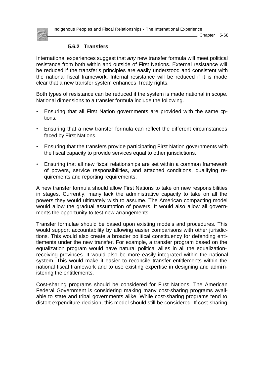Indigenous Peoples and Fiscal Relationships - The International Experience

Chapter 5-68



## **5.6.2 Transfers**

International experiences suggest that *any* new transfer formula will meet political resistance from both within and outside of First Nations. External resistance will be reduced if the transfer's principles are easily understood and consistent with the national fiscal framework. Internal resistance will be reduced if it is made clear that a new transfer system enhances Treaty rights.

Both types of resistance can be reduced if the system is made national in scope. National dimensions to a transfer formula include the following.

- Ensuring that all First Nation governments are provided with the same options.
- Ensuring that a new transfer formula can reflect the different circumstances faced by First Nations.
- Ensuring that the transfers provide participating First Nation governments with the fiscal capacity to provide services equal to other jurisdictions.
- Ensuring that all new fiscal relationships are set within a common framework of powers, service responsibilities, and attached conditions, qualifying requirements and reporting requirements.

A new transfer formula should allow First Nations to take on new responsibilities in stages. Currently, many lack the administrative capacity to take on all the powers they would ultimately wish to assume. The American compacting model would allow the gradual assumption of powers. It would also allow all governments the opportunity to test new arrangements.

Transfer formulae should be based upon existing models and procedures. This would support accountability by allowing easier comparisons with other jurisdictions. This would also create a broader political constituency for defending entitlements under the new transfer. For example, a transfer program based on the equalization program would have natural political allies in all the equalizationreceiving provinces. It would also be more easily integrated within the national system. This would make it easier to reconcile transfer entitlements within the national fiscal framework and to use existing expertise in designing and administering the entitlements.

Cost-sharing programs should be considered for First Nations. The American Federal Government is considering making many cost-sharing programs available to state and tribal governments alike. While cost-sharing programs tend to distort expenditure decision, this model should still be considered. If cost-sharing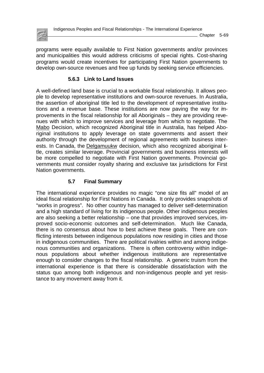

programs were equally available to First Nation governments and/or provinces and municipalities this would address criticisms of special rights. Cost-sharing programs would create incentives for participating First Nation governments to develop own-source revenues and free up funds by seeking service efficiencies.

## **5.6.3 Link to Land Issues**

A well-defined land base is crucial to a workable fiscal relationship. It allows people to develop representative institutions and own-source revenues. In Australia, the assertion of aboriginal title led to the development of representative institutions and a revenue base. These institutions are now paving the way for improvements in the fiscal relationship for all Aboriginals – they are providing revenues with which to improve services and leverage from which to negotiate. The Mabo Decision, which recognized Aboriginal title in Australia, has helped Aboriginal institutions to apply leverage on state governments and assert their authority through the development of regional agreements with business interests. In Canada, the Delgamuukw decision, which also recognized aboriginal itle, creates similar leverage. Provincial governments and business interests will be more compelled to negotiate with First Nation governments. Provincial governments must consider royalty sharing and exclusive tax jurisdictions for First Nation governments.

## **5.7 Final Summary**

The international experience provides no magic "one size fits all" model of an ideal fiscal relationship for First Nations in Canada. It only provides snapshots of "works in progress". No other country has managed to deliver self-determination and a high standard of living for its indigenous people. Other indigenous peoples are also seeking a better relationship – one that provides improved services, improved socio-economic outcomes and self-determination. Much like Canada, there is no consensus about how to best achieve these goals. There are conflicting interests between indigenous populations now residing in cities and those in indigenous communities. There are political rivalries within and among indigenous communities and organizations. There is often controversy within indigenous populations about whether indigenous institutions are representative enough to consider changes to the fiscal relationship. A generic truism from the international experience is that there is considerable dissatisfaction with the status quo among both indigenous and non-indigenous people and yet resistance to any movement away from it.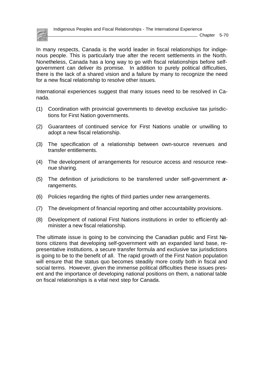

In many respects, Canada is the world leader in fiscal relationships for indigenous people. This is particularly true after the recent settlements in the North. Nonetheless, Canada has a long way to go with fiscal relationships before selfgovernment can deliver its promise. In addition to purely political difficulties, there is the lack of a shared vision and a failure by many to recognize the need for a new fiscal relationship to resolve other issues.

International experiences suggest that many issues need to be resolved in Canada.

- (1) Coordination with provincial governments to develop exclusive tax jurisdictions for First Nation governments.
- (2) Guarantees of continued service for First Nations unable or unwilling to adopt a new fiscal relationship.
- (3) The specification of a relationship between own-source revenues and transfer entitlements.
- (4) The development of arrangements for resource access and resource revenue sharing.
- (5) The definition of jurisdictions to be transferred under self-government arrangements.
- (6) Policies regarding the rights of third parties under new arrangements.
- (7) The development of financial reporting and other accountability provisions.
- (8) Development of national First Nations institutions in order to efficiently administer a new fiscal relationship.

The ultimate issue is going to be convincing the Canadian public and First Nations citizens that developing self-government with an expanded land base, representative institutions, a secure transfer formula and exclusive tax jurisdictions is going to be to the benefit of all. The rapid growth of the First Nation population will ensure that the status quo becomes steadily more costly both in fiscal and social terms. However, given the immense political difficulties these issues present and the importance of developing national positions on them, a national table on fiscal relationships is a vital next step for Canada.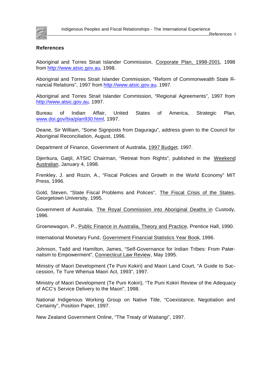

#### **References**

Aboriginal and Torres Strait Islander Commission, Corporate Plan, 1998-2001, 1998 fro[m http://www.atsic.gov.au,](http://www.atsic.gov.au) 1998.

Aboriginal and Torres Strait Islander Commission, "Reform of Commonwealth State Financial Relations", 1997 fro[m http://www.atsic.gov.au,](http://www.atsic.gov.au) 1997.

Aboriginal and Torres Strait Islander Commission, "Regional Agreements", 1997 from <http://www.atsic.gov.au>, 1997.

Bureau of Indian Affair, United States of America, Strategic Plan, [www.doi.gov/bia/plan930.html,](http://www.doi.gov/bia/plan930.html) 1997.

Deane, Sir William, "Some Signposts from Daguragu", address given to the Council for Aboriginal Reconciliation, August, 1996.

Department of Finance, Government of Australia, 1997 Budget, 1997.

Djerrkura, Gatjil, ATSIC Chairman, "Retreat from Rights", published in the Weekend Australian, January 4, 1998.

Frenkley, J. and Rozin, A., "Fiscal Policies and Growth in the World Economy" MIT Press, 1996.

Gold, Steven, "State Fiscal Problems and Polices", The Fiscal Crisis of the States, Georgetown University, 1995.

Government of Australia, The Royal Commission into Aboriginal Deaths in Custody, 1996.

Groenewagon, P., Public Finance in Australia, Theory and Practice, Prentice Hall, 1990.

International Monetary Fund, Government Financial Statistics Year Book, 1996.

Johnson, Tadd and Hamilton, James, "Self-Governance for Indian Tribes: From Paternalism to Empowerment", Connecticut Law Review, May 1995.

Ministry of Maori Development (Te Puni Kokiri) and Maori Land Court, "A Guide to Succession, Te Ture Whenua Maori Act, 1993", 1997.

Ministry of Maori Development (Te Puni Kokiri), "Te Puni Kokiri Review of the Adequacy of ACC's Service Delivery to the Maori", 1998.

National Indigenous Working Group on Native Title, "Coexistance, Negotiation and Certainty", Position Paper, 1997.

New Zealand Government Online, "The Treaty of Waitangi", 1997.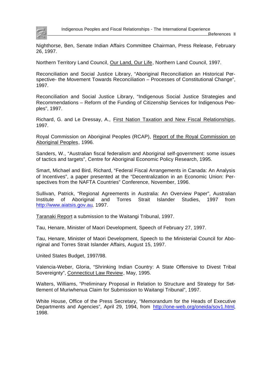

Nighthorse, Ben, Senate Indian Affairs Committee Chairman, Press Release, February 26, 1997.

Northern Territory Land Council, Our Land, Our Life, Northern Land Council, 1997.

Reconciliation and Social Justice Library, "Aboriginal Reconciliation an Historical Perspective- the Movement Towards Reconciliation – Processes of Constitutional Change", 1997.

Reconciliation and Social Justice Library, "Indigenous Social Justice Strategies and Recommendations – Reform of the Funding of Citizenship Services for Indigenous Peoples", 1997.

Richard, G. and Le Dressay, A., First Nation Taxation and New Fiscal Relationships, 1997.

Royal Commission on Aboriginal Peoples (RCAP), Report of the Royal Commission on Aboriginal Peoples, 1996.

Sanders, W., "Australian fiscal federalism and Aboriginal self-government: some issues of tactics and targets", Centre for Aboriginal Economic Policy Research, 1995.

Smart, Michael and Bird, Richard, "Federal Fiscal Arrangements in Canada: An Analysis of Incentives", a paper presented at the "Decentralization in an Economic Union: Perspectives from the NAFTA Countries" Conference, November, 1996.

Sullivan, Patrick, "Regional Agreements in Australia: An Overview Paper", Australian Institute of Aboriginal and Torres Strait Islander Studies, 1997 from [http://www.aiatsis.gov.au,](http://www.aiatsis.gov.au) 1997.

Taranaki Report a submission to the Waitangi Tribunal, 1997.

Tau, Henare, Minister of Maori Development, Speech of February 27, 1997.

Tau, Henare, Minister of Maori Development, Speech to the Ministerial Council for Aboriginal and Torres Strait Islander Affairs, August 15, 1997.

United States Budget, 1997/98.

Valencia-Weber, Gloria, "Shrinking Indian Country: A State Offensive to Divest Tribal Sovereignty", Connecticut Law Review, May, 1995.

Walters, Williams, "Preliminary Proposal in Relation to Structure and Strategy for Settlement of Muriwhenua Claim for Submission to Waitangi Tribunal", 1997.

White House, Office of the Press Secretary, "Memorandum for the Heads of Executive Departments and Agencies", April 29, 1994, from http://one-web.org/oneida/sov1.html, 1998.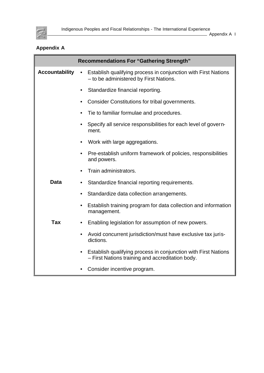

Appendix A I

# **Appendix A**

|                       | <b>Recommendations For "Gathering Strength"</b>                                                                                 |
|-----------------------|---------------------------------------------------------------------------------------------------------------------------------|
| <b>Accountability</b> | Establish qualifying process in conjunction with First Nations<br>$\bullet$<br>- to be administered by First Nations.           |
|                       | Standardize financial reporting.<br>٠                                                                                           |
|                       | Consider Constitutions for tribal governments.<br>٠                                                                             |
|                       | Tie to familiar formulae and procedures.<br>٠                                                                                   |
|                       | Specify all service responsibilities for each level of govern-<br>٠<br>ment.                                                    |
|                       | Work with large aggregations.<br>$\bullet$                                                                                      |
|                       | Pre-establish uniform framework of policies, responsibilities<br>٠<br>and powers.                                               |
|                       | Train administrators.<br>$\bullet$                                                                                              |
| <b>Data</b>           | Standardize financial reporting requirements.<br>$\bullet$                                                                      |
|                       | Standardize data collection arrangements.                                                                                       |
|                       | Establish training program for data collection and information<br>$\bullet$<br>management.                                      |
| <b>Tax</b>            | Enabling legislation for assumption of new powers.                                                                              |
|                       | Avoid concurrent jurisdiction/must have exclusive tax juris-<br>$\bullet$<br>dictions.                                          |
|                       | Establish qualifying process in conjunction with First Nations<br>$\bullet$<br>- First Nations training and accreditation body. |
|                       | Consider incentive program.<br>$\bullet$                                                                                        |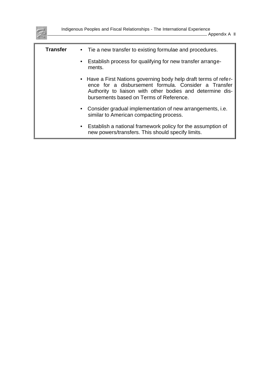

| <b>Transfer</b> | • Tie a new transfer to existing formulae and procedures.                                                                                                                                                                        |
|-----------------|----------------------------------------------------------------------------------------------------------------------------------------------------------------------------------------------------------------------------------|
|                 | • Establish process for qualifying for new transfer arrange-<br>ments.                                                                                                                                                           |
|                 | • Have a First Nations governing body help draft terms of refer-<br>ence for a disbursement formula. Consider a Transfer<br>Authority to liaison with other bodies and determine dis-<br>bursements based on Terms of Reference. |
|                 | • Consider gradual implementation of new arrangements, i.e.<br>similar to American compacting process.                                                                                                                           |
|                 | • Establish a national framework policy for the assumption of<br>new powers/transfers. This should specify limits.                                                                                                               |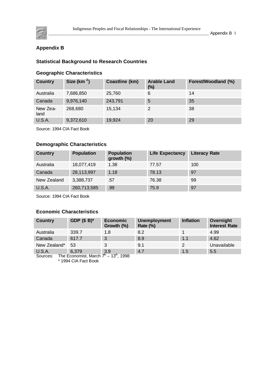

Appendix B I

# **Appendix B**

## **Statistical Background to Research Countries**

## **Geographic Characteristics**

| <b>Country</b>   | Size (km $2$ ) | Coastline (km) | <b>Arable Land</b><br>$(\%)$ | Forest/Woodland (%) |
|------------------|----------------|----------------|------------------------------|---------------------|
| Australia        | 7,686,850      | 25,760         | 6                            | 14                  |
| Canada           | 9,976,140      | 243,791        | 5                            | 35                  |
| New Zea-<br>land | 268,680        | 15,134         | 2                            | 38                  |
| <b>U.S.A.</b>    | 9,372,610      | 19,924         | 20                           | 29                  |

Source: 1994 CIA Fact Book

## **Demographic Characteristics**

| <b>Country</b> | <b>Population</b> | <b>Population</b><br>growth $(\%)$ | <b>Life Expectancy</b> | <b>Literacy Rate</b> |
|----------------|-------------------|------------------------------------|------------------------|----------------------|
| Australia      | 18,077,419        | 1.38                               | 77.57                  | 100                  |
| Canada         | 28,113,997        | 1.18                               | 78.13                  | 97                   |
| New Zealand    | 3,388,737         | .57                                | 76.38                  | 99                   |
| <b>U.S.A.</b>  | 260,713,585       | .99                                | 75.9                   | 97                   |

Source: 1994 CIA Fact Book

## **Economic Characteristics**

| <b>Country</b>            | GDP $($B)^*$                                                | <b>Economic</b><br>Growth (%) | <b>Unemployment</b><br><b>Rate (%)</b> | <b>Inflation</b> | Overnight<br><b>Interest Rate</b> |
|---------------------------|-------------------------------------------------------------|-------------------------------|----------------------------------------|------------------|-----------------------------------|
| Australia                 | 339.7                                                       | 1.8                           | 8.2                                    |                  | 4.99                              |
| Canada                    | 617.7                                                       | 3                             | 8.9                                    | 1.1              | 4.62                              |
| New Zealand*              | 53                                                          |                               | 9.1                                    | $\mathcal{P}$    | Unavailable                       |
| <b>U.S.A.</b><br>Sources: | 6,379<br>$6,379$ 3.9<br>The Economist March $7^{\text{th}}$ | $12^{th}$ $1008$              | 4.7                                    | 1.5              | 5.5                               |

Sources: The Economist, March  $7<sup>m</sup> - 13<sup>m</sup>$ , 1998 \* 1994 CIA Fact Book